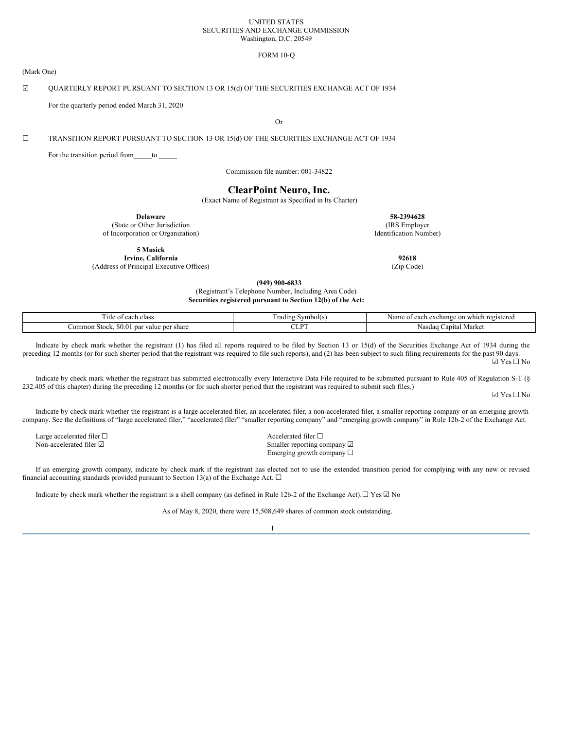#### UNITED STATES SECURITIES AND EXCHANGE COMMISSION Washington, D.C. 20549

### FORM 10-Q

(Mark One)

## ☑ QUARTERLY REPORT PURSUANT TO SECTION 13 OR 15(d) OF THE SECURITIES EXCHANGE ACT OF 1934

For the quarterly period ended March 31, 2020

Or

☐ TRANSITION REPORT PURSUANT TO SECTION 13 OR 15(d) OF THE SECURITIES EXCHANGE ACT OF 1934

For the transition period from \_\_\_\_\_\_to \_

Commission file number: 001-34822

# **ClearPoint Neuro, Inc.**

(Exact Name of Registrant as Specified in Its Charter)

**Delaware 58-2394628** of Incorporation or Organization)

**5 Musick**

(State or Other Jurisdiction (IRS Employer (IRS Employer 11) (IRS Employer 11) (IRS Employer 11) (IRS Employer 11) (IRS Employer 11) (IRS Employer 11) (IRS Employer 11) (IRS Employer 11) (IRS Employer 11) (IRS Employer 11)

**Irvine, California 92618**

(Address of Principal Executive Offices) (Zip Code)

**(949) 900-6833**

(Registrant's Telephone Number, Including Area Code) **Securities registered pursuant to Section 12(b) of the Act:**

| `itle<br>ı class<br>$\sim$<br>$\Omega$<br>. .<br>.         | vmbolt s<br>. radıng | Name<br>on which<br>registered<br>exchange<br>each<br>OT.<br>. |
|------------------------------------------------------------|----------------------|----------------------------------------------------------------|
| a Stock.<br>. par value per share<br>.ommon<br><b>SO.O</b> | דם זי<br>--          | . Market<br>Capital<br>ac<br>Nasc                              |

Indicate by check mark whether the registrant (1) has filed all reports required to be filed by Section 13 or 15(d) of the Securities Exchange Act of 1934 during the preceding 12 months (or for such shorter period that the registrant was required to file such reports), and (2) has been subject to such filing requirements for the past 90 days. ☑ Yes ☐ No

Indicate by check mark whether the registrant has submitted electronically every Interactive Data File required to be submitted pursuant to Rule 405 of Regulation S-T (§ 232.405 of this chapter) during the preceding 12 months (or for such shorter period that the registrant was required to submit such files.)

☑ Yes ☐ No

Indicate by check mark whether the registrant is a large accelerated filer, an accelerated filer, a non-accelerated filer, a smaller reporting company or an emerging growth company. See the definitions of "large accelerated filer," "accelerated filer" "smaller reporting company" and "emerging growth company" in Rule 12b-2 of the Exchange Act.

Large accelerated filer □ and set of large accelerated filer □ and  $\Box$ 

Non-accelerated filer ☑ Smaller reporting company ☑ Smaller reporting company ☑ Emerging growth company ☐

If an emerging growth company, indicate by check mark if the registrant has elected not to use the extended transition period for complying with any new or revised financial accounting standards provided pursuant to Section 13(a) of the Exchange Act.  $\Box$ 

Indicate by check mark whether the registrant is a shell company (as defined in Rule 12b-2 of the Exchange Act).☐ Yes ☑ No

As of May 8, 2020, there were 15,508,649 shares of common stock outstanding.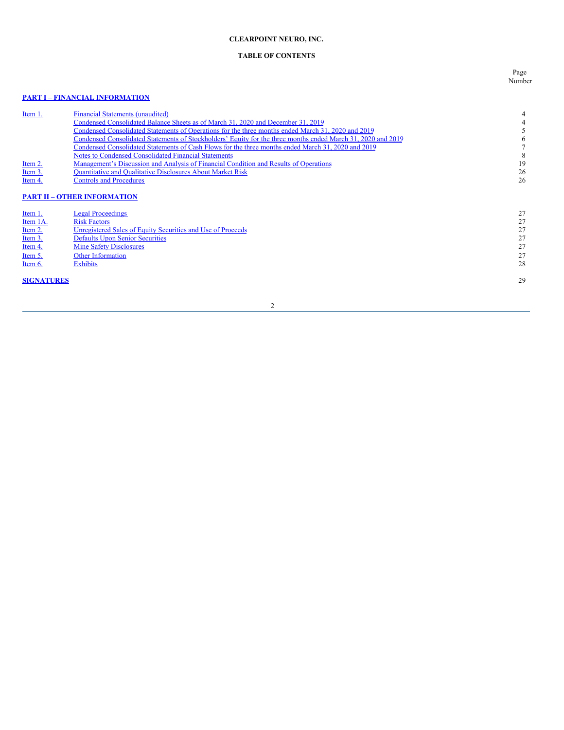## **CLEARPOINT NEURO, INC.**

# **TABLE OF CONTENTS**

Page Number

# **PART I – FINANCIAL [INFORMATION](#page-3-0)**

| Item 1.           | <b>Financial Statements (unaudited)</b>                                                                      |    |
|-------------------|--------------------------------------------------------------------------------------------------------------|----|
|                   | Condensed Consolidated Balance Sheets as of March 31, 2020 and December 31, 2019                             |    |
|                   | Condensed Consolidated Statements of Operations for the three months ended March 31, 2020 and 2019           |    |
|                   | Condensed Consolidated Statements of Stockholders' Equity for the three months ended March 31, 2020 and 2019 |    |
|                   | Condensed Consolidated Statements of Cash Flows for the three months ended March 31, 2020 and 2019           |    |
|                   | <b>Notes to Condensed Consolidated Financial Statements</b>                                                  |    |
| Item 2.           | Management's Discussion and Analysis of Financial Condition and Results of Operations                        | 19 |
| Item 3.           | <b>Quantitative and Qualitative Disclosures About Market Risk</b>                                            | 26 |
| Item 4.           | <b>Controls and Procedures</b>                                                                               | 26 |
| <u>Item 1.</u>    | Legal Proceedings                                                                                            | 27 |
| Item 1A.          | <b>Risk Factors</b>                                                                                          | 27 |
| Item 2.           | Unregistered Sales of Equity Securities and Use of Proceeds                                                  | 27 |
| Item 3.           | <b>Defaults Upon Senior Securities</b>                                                                       | 27 |
| Item 4.           | <b>Mine Safety Disclosures</b>                                                                               | 27 |
| Item 5.           | <b>Other Information</b>                                                                                     | 27 |
| Item 6.           | <b>Exhibits</b>                                                                                              | 28 |
| <b>SIGNATURES</b> |                                                                                                              | 29 |
|                   |                                                                                                              |    |

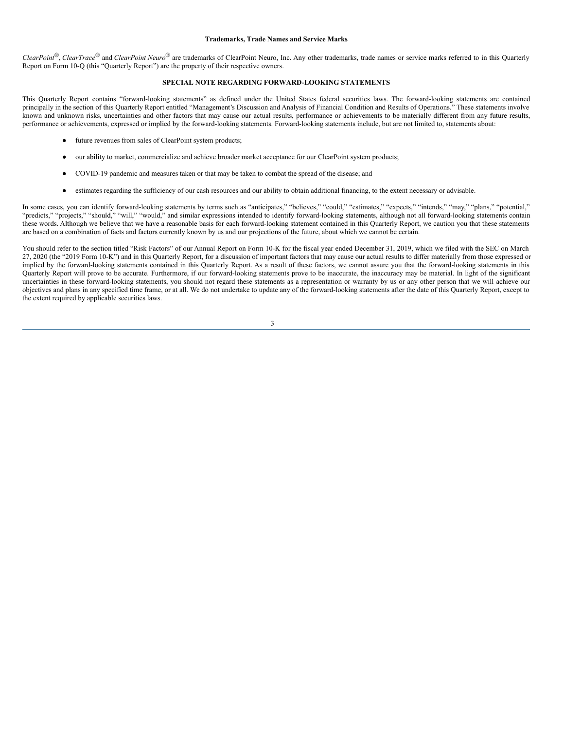## **Trademarks, Trade Names and Service Marks**

*ClearPoint*®, *ClearTrace*® and *ClearPoint Neuro*® are trademarks of ClearPoint Neuro, Inc. Any other trademarks, trade names or service marks referred to in this Quarterly Report on Form 10-Q (this "Quarterly Report") are the property of their respective owners.

## **SPECIAL NOTE REGARDING FORWARD-LOOKING STATEMENTS**

This Quarterly Report contains "forward-looking statements" as defined under the United States federal securities laws. The forward-looking statements are contained principally in the section of this Quarterly Report entitled "Management's Discussion and Analysis of Financial Condition and Results of Operations." These statements involve known and unknown risks, uncertainties and other factors that may cause our actual results, performance or achievements to be materially different from any future results, performance or achievements, expressed or implied by the forward-looking statements. Forward-looking statements include, but are not limited to, statements about:

- future revenues from sales of ClearPoint system products;
- our ability to market, commercialize and achieve broader market acceptance for our ClearPoint system products;
- COVID-19 pandemic and measures taken or that may be taken to combat the spread of the disease; and
- estimates regarding the sufficiency of our cash resources and our ability to obtain additional financing, to the extent necessary or advisable.

In some cases, you can identify forward-looking statements by terms such as "anticipates," "believes," "could," "estimates," "expects," "intends," "may," "plans," "potential," "predicts," "projects," "should," "will," "would," and similar expressions intended to identify forward-looking statements, although not all forward-looking statements contain these words. Although we believe that we have a reasonable basis for each forward-looking statement contained in this Quarterly Report, we caution you that these statements are based on a combination of facts and factors currently known by us and our projections of the future, about which we cannot be certain.

You should refer to the section titled "Risk Factors" of our Annual Report on Form 10-K for the fiscal year ended December 31, 2019, which we filed with the SEC on March 27, 2020 (the "2019 Form 10-K") and in this Quarterly Report, for a discussion of important factors that may cause our actual results to differ materially from those expressed or implied by the forward-looking statements contained in this Quarterly Report. As a result of these factors, we cannot assure you that the forward-looking statements in this Quarterly Report will prove to be accurate. Furthermore, if our forward-looking statements prove to be inaccurate, the inaccuracy may be material. In light of the significant uncertainties in these forward-looking statements, you should not regard these statements as a representation or warranty by us or any other person that we will achieve our objectives and plans in any specified time frame, or at all. We do not undertake to update any of the forward-looking statements after the date of this Quarterly Report, except to the extent required by applicable securities laws.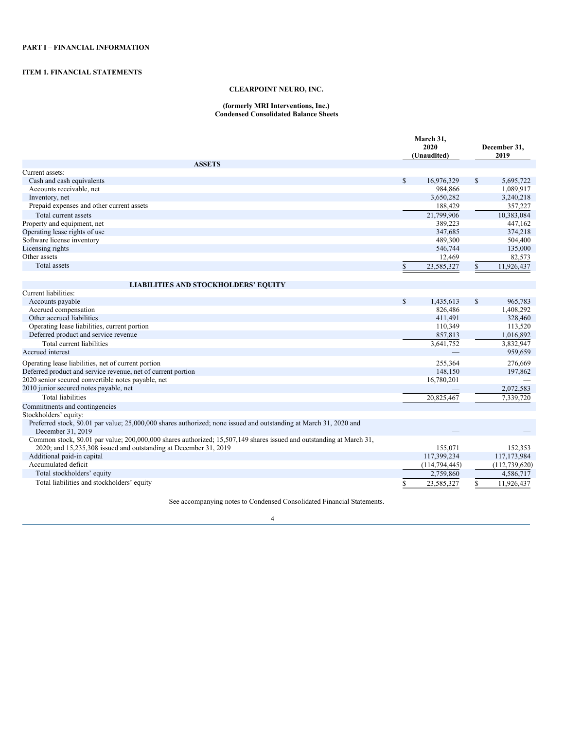# <span id="page-3-2"></span><span id="page-3-1"></span><span id="page-3-0"></span>**ITEM 1. FINANCIAL STATEMENTS**

# **CLEARPOINT NEURO, INC.**

#### **(formerly MRI Interventions, Inc.) Condensed Consolidated Balance Sheets**

|                                                                                                                                         |              | March 31,<br>2020<br>(Unaudited) |              | December 31,<br>2019 |
|-----------------------------------------------------------------------------------------------------------------------------------------|--------------|----------------------------------|--------------|----------------------|
| <b>ASSETS</b>                                                                                                                           |              |                                  |              |                      |
| Current assets:                                                                                                                         |              |                                  |              |                      |
| Cash and cash equivalents                                                                                                               | \$           | 16,976,329                       | $\mathbb{S}$ | 5,695,722            |
| Accounts receivable, net                                                                                                                |              | 984,866                          |              | 1,089,917            |
| Inventory, net                                                                                                                          |              | 3,650,282                        |              | 3,240,218            |
| Prepaid expenses and other current assets                                                                                               |              | 188,429                          |              | 357,227              |
| Total current assets                                                                                                                    |              | 21,799,906                       |              | 10,383,084           |
| Property and equipment, net                                                                                                             |              | 389,223                          |              | 447,162              |
| Operating lease rights of use                                                                                                           |              | 347,685                          |              | 374,218              |
| Software license inventory                                                                                                              |              | 489,300                          |              | 504,400              |
| Licensing rights                                                                                                                        |              | 546,744                          |              | 135,000              |
| Other assets                                                                                                                            |              | 12,469                           |              | 82,573               |
| Total assets                                                                                                                            | \$           | 23,585,327                       | \$           | 11,926,437           |
| <b>LIABILITIES AND STOCKHOLDERS' EQUITY</b>                                                                                             |              |                                  |              |                      |
| Current liabilities:                                                                                                                    |              |                                  |              |                      |
| Accounts payable                                                                                                                        | $\mathbf{s}$ | 1,435,613                        | $\mathbb{S}$ | 965,783              |
| Accrued compensation                                                                                                                    |              | 826,486                          |              | 1,408,292            |
| Other accrued liabilities                                                                                                               |              | 411,491                          |              | 328,460              |
| Operating lease liabilities, current portion                                                                                            |              | 110,349                          |              | 113,520              |
| Deferred product and service revenue                                                                                                    |              | 857,813                          |              | 1,016,892            |
| Total current liabilities                                                                                                               |              | 3,641,752                        |              | 3,832,947            |
| Accrued interest                                                                                                                        |              |                                  |              | 959,659              |
| Operating lease liabilities, net of current portion                                                                                     |              | 255,364                          |              | 276,669              |
| Deferred product and service revenue, net of current portion                                                                            |              | 148,150                          |              | 197,862              |
| 2020 senior secured convertible notes payable, net                                                                                      |              | 16,780,201                       |              |                      |
| 2010 junior secured notes payable, net                                                                                                  |              |                                  |              |                      |
| <b>Total liabilities</b>                                                                                                                |              |                                  |              | 2,072,583            |
|                                                                                                                                         |              | 20,825,467                       |              | 7,339,720            |
| Commitments and contingencies                                                                                                           |              |                                  |              |                      |
| Stockholders' equity:                                                                                                                   |              |                                  |              |                      |
| Preferred stock, \$0.01 par value; 25,000,000 shares authorized; none issued and outstanding at March 31, 2020 and<br>December 31, 2019 |              |                                  |              |                      |
| Common stock, \$0.01 par value; 200,000,000 shares authorized; 15,507,149 shares issued and outstanding at March 31,                    |              |                                  |              |                      |
| 2020; and 15,235,308 issued and outstanding at December 31, 2019                                                                        |              | 155,071                          |              | 152,353              |
| Additional paid-in capital                                                                                                              |              | 117,399,234                      |              | 117,173,984          |
| Accumulated deficit                                                                                                                     |              | (114, 794, 445)                  |              | (112, 739, 620)      |
| Total stockholders' equity                                                                                                              |              | 2,759,860                        |              | 4,586,717            |
| Total liabilities and stockholders' equity                                                                                              |              | 23,585,327                       | \$           | 11,926,437           |

See accompanying notes to Condensed Consolidated Financial Statements.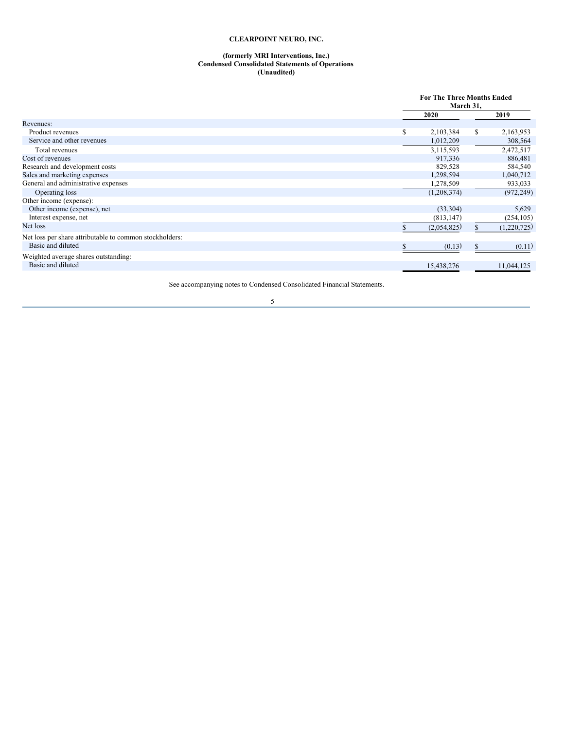## **CLEARPOINT NEURO, INC.**

#### **(formerly MRI Interventions, Inc.) Condensed Consolidated Statements of Operations (Unaudited)**

<span id="page-4-0"></span>

|                                                         | <b>For The Three Months Ended</b><br>March 31, |          |             |  |  |
|---------------------------------------------------------|------------------------------------------------|----------|-------------|--|--|
|                                                         | 2020                                           |          | 2019        |  |  |
| Revenues:                                               |                                                |          |             |  |  |
| Product revenues                                        | \$<br>2,103,384                                | \$       | 2,163,953   |  |  |
| Service and other revenues                              | 1,012,209                                      |          | 308,564     |  |  |
| Total revenues                                          | 3,115,593                                      |          | 2,472,517   |  |  |
| Cost of revenues                                        | 917,336                                        |          | 886,481     |  |  |
| Research and development costs                          | 829,528                                        |          | 584,540     |  |  |
| Sales and marketing expenses                            | 1,298,594                                      |          | 1,040,712   |  |  |
| General and administrative expenses                     | 1,278,509                                      |          | 933,033     |  |  |
| Operating loss                                          | (1,208,374)                                    |          | (972, 249)  |  |  |
| Other income (expense):                                 |                                                |          |             |  |  |
| Other income (expense), net                             | (33,304)                                       |          | 5,629       |  |  |
| Interest expense, net                                   | (813, 147)                                     |          | (254, 105)  |  |  |
| Net loss                                                | (2,054,825)                                    |          | (1,220,725) |  |  |
| Net loss per share attributable to common stockholders: |                                                |          |             |  |  |
| Basic and diluted                                       | (0.13)                                         | <b>S</b> | (0.11)      |  |  |
| Weighted average shares outstanding:                    |                                                |          |             |  |  |
| Basic and diluted                                       | 15,438,276                                     |          | 11,044,125  |  |  |

See accompanying notes to Condensed Consolidated Financial Statements.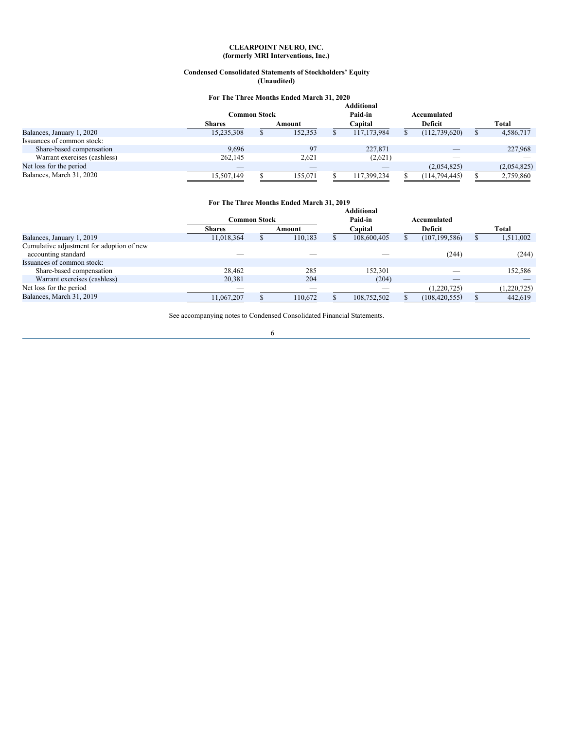## **CLEARPOINT NEURO, INC. (formerly MRI Interventions, Inc.)**

## **Condensed Consolidated Statements of Stockholders' Equity (Unaudited)**

#### **For The Three Months Ended March 31, 2020**

<span id="page-5-0"></span>

|                              |               |                          | <b>Additional</b> |                 |              |
|------------------------------|---------------|--------------------------|-------------------|-----------------|--------------|
|                              | Common Stock- |                          | Paid-in           | Accumulated     |              |
|                              | <b>Shares</b> | Amount                   | Capital           | Deficit         | <b>Total</b> |
| Balances, January 1, 2020    | 15.235.308    | 152,353                  | 117,173,984       | (112, 739, 620) | 4,586,717    |
| Issuances of common stock:   |               |                          |                   |                 |              |
| Share-based compensation     | 9.696         | 97                       | 227,871           |                 | 227,968      |
| Warrant exercises (cashless) | 262,145       | 2,621                    | (2,621)           |                 |              |
| Net loss for the period      |               | $\overline{\phantom{a}}$ |                   | (2,054,825)     | (2,054,825)  |
| Balances, March 31, 2020     | 15,507,149    | 155,071                  | 117,399,234       | (114, 794, 445) | 2,759,860    |

## **For The Three Months Ended March 31, 2019**

|                                           |                          |              |         | <b>Additional</b> |                 |              |
|-------------------------------------------|--------------------------|--------------|---------|-------------------|-----------------|--------------|
|                                           |                          | Common Stock |         | Paid-in           | Accumulated     |              |
|                                           | <b>Shares</b>            |              | Amount  | Capital           | Deficit         | <b>Total</b> |
| Balances, January 1, 2019                 | 11,018,364               |              | 110,183 | 108,600,405       | (107, 199, 586) | 1,511,002    |
| Cumulative adjustment for adoption of new |                          |              |         |                   |                 |              |
| accounting standard                       |                          |              |         |                   | (244)           | (244)        |
| Issuances of common stock:                |                          |              |         |                   |                 |              |
| Share-based compensation                  | 28.462                   |              | 285     | 152,301           |                 | 152,586      |
| Warrant exercises (cashless)              | 20.381                   |              | 204     | (204)             | _               |              |
| Net loss for the period                   | $\overline{\phantom{a}}$ |              | -       |                   | (1,220,725)     | (1,220,725)  |
| Balances, March 31, 2019                  | 11,067,207               |              | 110,672 | 108,752,502       | (108, 420, 555) | 442,619      |

See accompanying notes to Condensed Consolidated Financial Statements.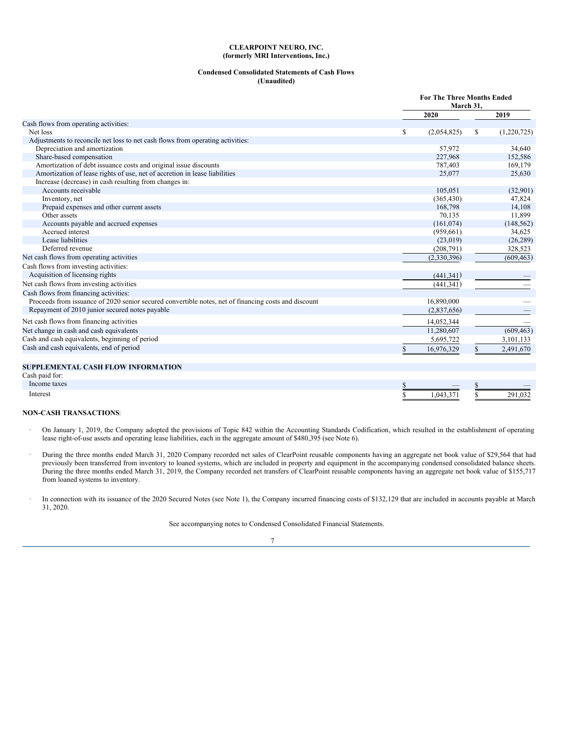### **CLEARPOINT NEURO, INC. (formerly MRI Interventions, Inc.)**

### **Condensed Consolidated Statements of Cash Flows (Unaudited)**

<span id="page-6-0"></span>

|                                                                                                      | <b>For The Three Months Ended</b><br>March 31, |             |    |             |
|------------------------------------------------------------------------------------------------------|------------------------------------------------|-------------|----|-------------|
|                                                                                                      |                                                | 2020        |    | 2019        |
| Cash flows from operating activities:                                                                |                                                |             |    |             |
| Net loss                                                                                             | \$                                             | (2,054,825) | S  | (1,220,725) |
| Adjustments to reconcile net loss to net cash flows from operating activities:                       |                                                |             |    |             |
| Depreciation and amortization                                                                        |                                                | 57,972      |    | 34,640      |
| Share-based compensation                                                                             |                                                | 227,968     |    | 152,586     |
| Amortization of debt issuance costs and original issue discounts                                     |                                                | 787,403     |    | 169,179     |
| Amortization of lease rights of use, net of accretion in lease liabilities                           |                                                | 25,077      |    | 25,630      |
| Increase (decrease) in cash resulting from changes in:                                               |                                                |             |    |             |
| Accounts receivable                                                                                  |                                                | 105,051     |    | (32,901)    |
| Inventory, net                                                                                       |                                                | (365, 430)  |    | 47,824      |
| Prepaid expenses and other current assets                                                            |                                                | 168,798     |    | 14,108      |
| Other assets                                                                                         |                                                | 70,135      |    | 11,899      |
| Accounts payable and accrued expenses                                                                |                                                | (161, 074)  |    | (148, 562)  |
| Accrued interest                                                                                     |                                                | (959, 661)  |    | 34,625      |
| Lease liabilities                                                                                    |                                                | (23,019)    |    | (26, 289)   |
| Deferred revenue                                                                                     |                                                | (208, 791)  |    | 328,523     |
| Net cash flows from operating activities                                                             |                                                | (2,330,396) |    | (609, 463)  |
| Cash flows from investing activities:                                                                |                                                |             |    |             |
| Acquisition of licensing rights                                                                      |                                                | (441, 341)  |    |             |
| Net cash flows from investing activities                                                             |                                                | (441, 341)  |    |             |
| Cash flows from financing activities:                                                                |                                                |             |    |             |
| Proceeds from issuance of 2020 senior secured convertible notes, net of financing costs and discount |                                                | 16,890,000  |    |             |
| Repayment of 2010 junior secured notes payable                                                       |                                                | (2,837,656) |    |             |
| Net cash flows from financing activities                                                             |                                                | 14,052,344  |    |             |
| Net change in cash and cash equivalents                                                              |                                                | 11,280,607  |    | (609, 463)  |
| Cash and cash equivalents, beginning of period                                                       |                                                | 5,695,722   |    | 3,101,133   |
| Cash and cash equivalents, end of period                                                             |                                                | 16,976,329  | S  | 2,491,670   |
|                                                                                                      |                                                |             |    |             |
| <b>SUPPLEMENTAL CASH FLOW INFORMATION</b>                                                            |                                                |             |    |             |
| Cash paid for:                                                                                       |                                                |             |    |             |
| Income taxes                                                                                         | \$                                             |             | \$ |             |

## **NON-CASH TRANSACTIONS**:

· On January 1, 2019, the Company adopted the provisions of Topic 842 within the Accounting Standards Codification, which resulted in the establishment of operating lease right-of-use assets and operating lease liabilities, each in the aggregate amount of \$480,395 (see Note 6).

Interest  $\frac{1}{3}$  1,043,371  $\frac{1}{3}$  291,032

- · During the three months ended March 31, 2020 Company recorded net sales of ClearPoint reusable components having an aggregate net book value of \$29,564 that had previously been transferred from inventory to loaned systems, which are included in property and equipment in the accompanying condensed consolidated balance sheets. During the three months ended March 31, 2019, the Company recorded net transfers of ClearPoint reusable components having an aggregate net book value of \$155,717 from loaned systems to inventory.
- In connection with its issuance of the 2020 Secured Notes (see Note 1), the Company incurred financing costs of \$132,129 that are included in accounts payable at March 31, 2020.

See accompanying notes to Condensed Consolidated Financial Statements.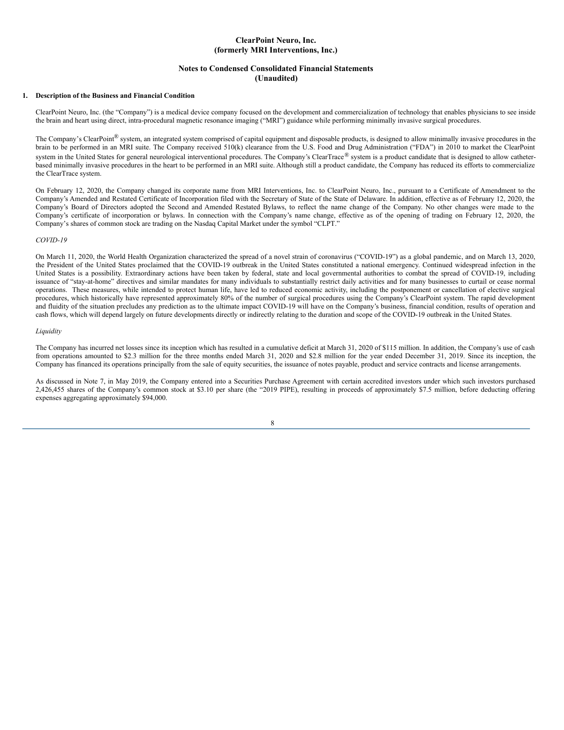## **ClearPoint Neuro, Inc. (formerly MRI Interventions, Inc.)**

## **Notes to Condensed Consolidated Financial Statements (Unaudited)**

## <span id="page-7-0"></span>**1. Description of the Business and Financial Condition**

ClearPoint Neuro, Inc. (the "Company") is a medical device company focused on the development and commercialization of technology that enables physicians to see inside the brain and heart using direct, intra-procedural magnetic resonance imaging ("MRI") guidance while performing minimally invasive surgical procedures.

The Company's ClearPoint<sup>®</sup> system, an integrated system comprised of capital equipment and disposable products, is designed to allow minimally invasive procedures in the brain to be performed in an MRI suite. The Company received 510(k) clearance from the U.S. Food and Drug Administration ("FDA") in 2010 to market the ClearPoint system in the United States for general neurological interventional procedures. The Company's ClearTrace® system is a product candidate that is designed to allow catheterbased minimally invasive procedures in the heart to be performed in an MRI suite. Although still a product candidate, the Company has reduced its efforts to commercialize the ClearTrace system.

On February 12, 2020, the Company changed its corporate name from MRI Interventions, Inc. to ClearPoint Neuro, Inc., pursuant to a Certificate of Amendment to the Company's Amended and Restated Certificate of Incorporation filed with the Secretary of State of the State of Delaware. In addition, effective as of February 12, 2020, the Company's Board of Directors adopted the Second and Amended Restated Bylaws, to reflect the name change of the Company. No other changes were made to the Company's certificate of incorporation or bylaws. In connection with the Company's name change, effective as of the opening of trading on February 12, 2020, the Company's shares of common stock are trading on the Nasdaq Capital Market under the symbol "CLPT."

## *COVID-19*

On March 11, 2020, the World Health Organization characterized the spread of a novel strain of coronavirus ("COVID-19") as a global pandemic, and on March 13, 2020, the President of the United States proclaimed that the COVID-19 outbreak in the United States constituted a national emergency. Continued widespread infection in the United States is a possibility. Extraordinary actions have been taken by federal, state and local governmental authorities to combat the spread of COVID-19, including issuance of "stay-at-home" directives and similar mandates for many individuals to substantially restrict daily activities and for many businesses to curtail or cease normal operations. These measures, while intended to protect human life, have led to reduced economic activity, including the postponement or cancellation of elective surgical procedures, which historically have represented approximately 80% of the number of surgical procedures using the Company's ClearPoint system. The rapid development and fluidity of the situation precludes any prediction as to the ultimate impact COVID-19 will have on the Company's business, financial condition, results of operation and cash flows, which will depend largely on future developments directly or indirectly relating to the duration and scope of the COVID-19 outbreak in the United States.

### *Liquidity*

The Company has incurred net losses since its inception which has resulted in a cumulative deficit at March 31, 2020 of \$115 million. In addition, the Company's use of cash from operations amounted to \$2.3 million for the three months ended March 31, 2020 and \$2.8 million for the year ended December 31, 2019. Since its inception, the Company has financed its operations principally from the sale of equity securities, the issuance of notes payable, product and service contracts and license arrangements.

As discussed in Note 7, in May 2019, the Company entered into a Securities Purchase Agreement with certain accredited investors under which such investors purchased 2,426,455 shares of the Company's common stock at \$3.10 per share (the "2019 PIPE), resulting in proceeds of approximately \$7.5 million, before deducting offering expenses aggregating approximately \$94,000.

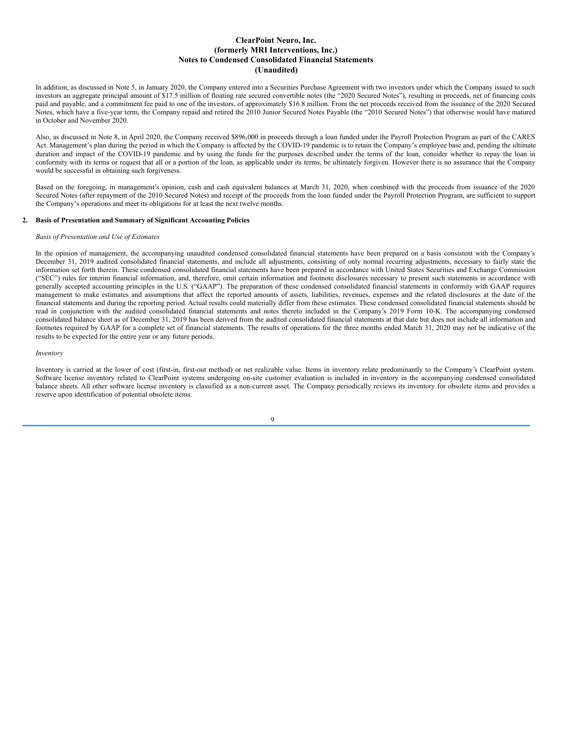In addition, as discussed in Note 5, in January 2020, the Company entered into a Securities Purchase Agreement with two investors under which the Company issued to such investors an aggregate principal amount of \$17.5 million of floating rate secured convertible notes (the "2020 Secured Notes"), resulting in proceeds, net of financing costs paid and payable, and a commitment fee paid to one of the investors, of approximately \$16.8 million. From the net proceeds received from the issuance of the 2020 Secured Notes, which have a five-year term, the Company repaid and retired the 2010 Junior Secured Notes Payable (the "2010 Secured Notes") that otherwise would have matured in October and November 2020.

Also, as discussed in Note 8, in April 2020, the Company received \$896,000 in proceeds through a loan funded under the Payroll Protection Program as part of the CARES Act. Management's plan during the period in which the Company is affected by the COVID-19 pandemic is to retain the Company's employee base and, pending the ultimate duration and impact of the COVID-19 pandemic and by using the funds for the purposes described under the terms of the loan, consider whether to repay the loan in conformity with its terms or request that all or a portion of the loan, as applicable under its terms, be ultimately forgiven. However there is no assurance that the Company would be successful in obtaining such forgiveness.

Based on the foregoing, in management's opinion, cash and cash equivalent balances at March 31, 2020, when combined with the proceeds from issuance of the 2020 Secured Notes (after repayment of the 2010 Secured Notes) and receipt of the proceeds from the loan funded under the Payroll Protection Program, are sufficient to support the Company's operations and meet its obligations for at least the next twelve months.

#### **2. Basis of Presentation and Summary of Significant Accounting Policies**

### *Basis of Presentation and Use of Estimates*

In the opinion of management, the accompanying unaudited condensed consolidated financial statements have been prepared on a basis consistent with the Company's December 31, 2019 audited consolidated financial statements, and include all adjustments, consisting of only normal recurring adjustments, necessary to fairly state the information set forth therein. These condensed consolidated financial statements have been prepared in accordance with United States Securities and Exchange Commission ("SEC") rules for interim financial information, and, therefore, omit certain information and footnote disclosures necessary to present such statements in accordance with generally accepted accounting principles in the U.S. ("GAAP"). The preparation of these condensed consolidated financial statements in conformity with GAAP requires management to make estimates and assumptions that affect the reported amounts of assets, liabilities, revenues, expenses and the related disclosures at the date of the financial statements and during the reporting period. Actual results could materially differ from these estimates. These condensed consolidated financial statements should be read in conjunction with the audited consolidated financial statements and notes thereto included in the Company's 2019 Form 10-K. The accompanying condensed consolidated balance sheet as of December 31, 2019 has been derived from the audited consolidated financial statements at that date but does not include all information and footnotes required by GAAP for a complete set of financial statements. The results of operations for the three months ended March 31, 2020 may not be indicative of the results to be expected for the entire year or any future periods.

#### *Inventory*

Inventory is carried at the lower of cost (first-in, first-out method) or net realizable value. Items in inventory relate predominantly to the Company's ClearPoint system. Software license inventory related to ClearPoint systems undergoing on-site customer evaluation is included in inventory in the accompanying condensed consolidated balance sheets. All other software license inventory is classified as a non-current asset. The Company periodically reviews its inventory for obsolete items and provides a reserve upon identification of potential obsolete items.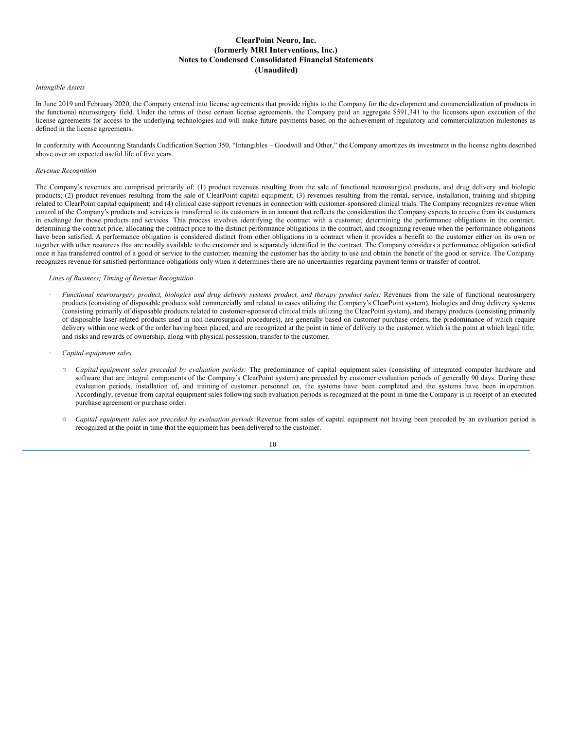#### *Intangible Assets*

In June 2019 and February 2020, the Company entered into license agreements that provide rights to the Company for the development and commercialization of products in the functional neurosurgery field. Under the terms of those certain license agreements, the Company paid an aggregate \$591,341 to the licensors upon execution of the license agreements for access to the underlying technologies and will make future payments based on the achievement of regulatory and commercialization milestones as defined in the license agreements.

In conformity with Accounting Standards Codification Section 350, "Intangibles – Goodwill and Other," the Company amortizes its investment in the license rights described above over an expected useful life of five years.

### *Revenue Recognition*

The Company's revenues are comprised primarily of: (1) product revenues resulting from the sale of functional neurosurgical products, and drug delivery and biologic products; (2) product revenues resulting from the sale of ClearPoint capital equipment; (3) revenues resulting from the rental, service, installation, training and shipping related to ClearPoint capital equipment; and (4) clinical case support revenues in connection with customer-sponsored clinical trials. The Company recognizes revenue when control of the Company's products and services is transferred to its customers in an amount that reflects the consideration the Company expects to receive from its customers in exchange for those products and services. This process involves identifying the contract with a customer, determining the performance obligations in the contract, determining the contract price, allocating the contract price to the distinct performance obligations in the contract, and recognizing revenue when the performance obligations have been satisfied. A performance obligation is considered distinct from other obligations in a contract when it provides a benefit to the customer either on its own or together with other resources that are readily available to the customer and is separately identified in the contract. The Company considers a performance obligation satisfied once it has transferred control of a good or service to the customer, meaning the customer has the ability to use and obtain the benefit of the good or service. The Company recognizes revenue for satisfied performance obligations only when it determines there are no uncertainties regarding payment terms or transfer of control.

### *Lines of Business; Timing of Revenue Recognition*

- Functional neurosurgery product, biologics and drug delivery systems product, and therapy product sales: Revenues from the sale of functional neurosurgery products (consisting of disposable products sold commercially and related to cases utilizing the Company's ClearPoint system), biologics and drug delivery systems (consisting primarily of disposable products related to customer-sponsored clinical trials utilizing the ClearPoint system), and therapy products (consisting primarily of disposable laser-related products used in non-neurosurgical procedures), are generally based on customer purchase orders, the predominance of which require delivery within one week of the order having been placed, and are recognized at the point in time of delivery to the customer, which is the point at which legal title, and risks and rewards of ownership, along with physical possession, transfer to the customer.
- · *Capital equipment sales*
	- o *Capital equipment sales preceded by evaluation periods:* The predominance of capital equipment sales (consisting of integrated computer hardware and software that are integral components of the Company's ClearPoint system) are preceded by customer evaluation periods of generally 90 days. During these evaluation periods, installation of, and training of customer personnel on, the systems have been completed and the systems have been in operation. Accordingly, revenue from capital equipment sales following such evaluation periods is recognized at the point in time the Company is in receipt of an executed purchase agreement or purchase order.
	- o *Capital equipment sales not preceded by evaluation periods:*Revenue from sales of capital equipment not having been preceded by an evaluation period is recognized at the point in time that the equipment has been delivered to the customer.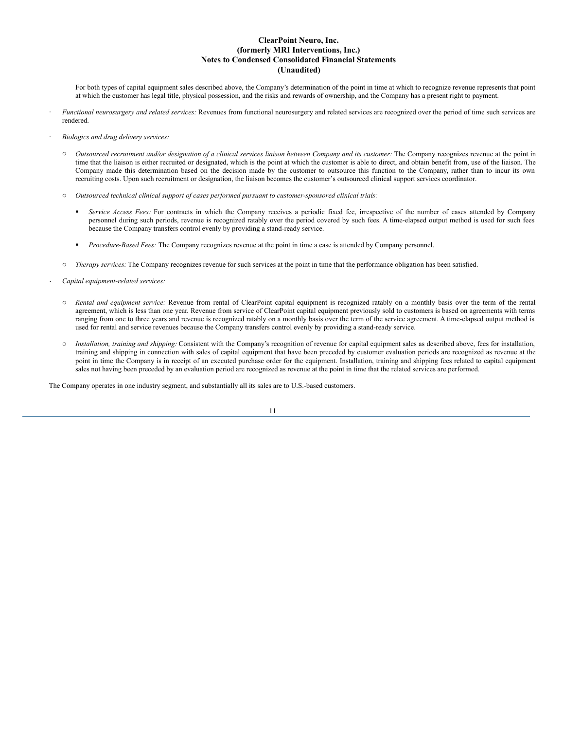For both types of capital equipment sales described above, the Company's determination of the point in time at which to recognize revenue represents that point at which the customer has legal title, physical possession, and the risks and rewards of ownership, and the Company has a present right to payment.

- · *Functional neurosurgery and related services:* Revenues from functional neurosurgery and related services are recognized over the period of time such services are rendered.
- · *Biologics and drug delivery services:*
	- O Outsourced recruitment and/or designation of a clinical services liaison between Company and its customer: The Company recognizes revenue at the point in time that the liaison is either recruited or designated, which is the point at which the customer is able to direct, and obtain benefit from, use of the liaison. The Company made this determination based on the decision made by the customer to outsource this function to the Company, rather than to incur its own recruiting costs. Upon such recruitment or designation, the liaison becomes the customer's outsourced clinical support services coordinator.
	- o *Outsourced technical clinical support of cases performed pursuant to customer-sponsored clinical trials:*
		- § *Service Access Fees:* For contracts in which the Company receives a periodic fixed fee, irrespective of the number of cases attended by Company personnel during such periods, revenue is recognized ratably over the period covered by such fees. A time-elapsed output method is used for such fees because the Company transfers control evenly by providing a stand-ready service.
		- § *Procedure-Based Fees:* The Company recognizes revenue at the point in time a case is attended by Company personnel.
	- o *Therapy services:* The Company recognizes revenue for such services at the point in time that the performance obligation has been satisfied.
- · *Capital equipment-related services:*
	- o *Rental and equipment service:* Revenue from rental of ClearPoint capital equipment is recognized ratably on a monthly basis over the term of the rental agreement, which is less than one year. Revenue from service of ClearPoint capital equipment previously sold to customers is based on agreements with terms ranging from one to three years and revenue is recognized ratably on a monthly basis over the term of the service agreement. A time-elapsed output method is used for rental and service revenues because the Company transfers control evenly by providing a stand-ready service.
	- o *Installation, training and shipping:* Consistent with the Company's recognition of revenue for capital equipment sales as described above, fees for installation, training and shipping in connection with sales of capital equipment that have been preceded by customer evaluation periods are recognized as revenue at the point in time the Company is in receipt of an executed purchase order for the equipment. Installation, training and shipping fees related to capital equipment sales not having been preceded by an evaluation period are recognized as revenue at the point in time that the related services are performed.

The Company operates in one industry segment, and substantially all its sales are to U.S.-based customers.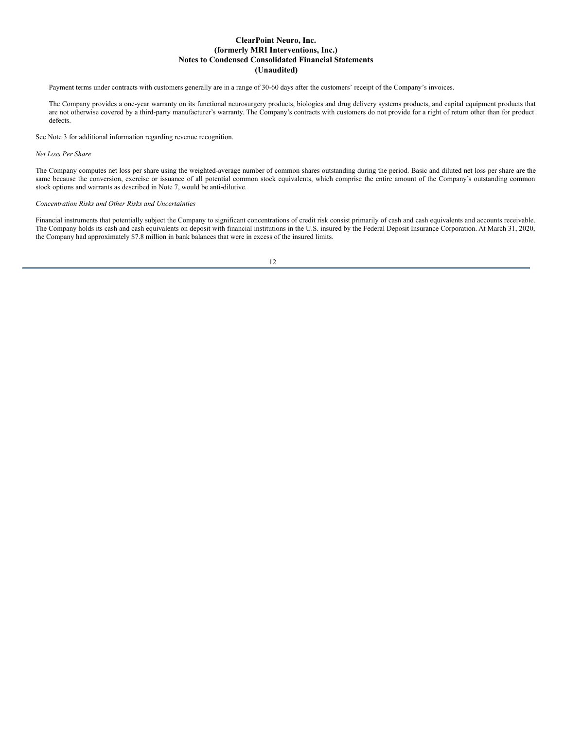Payment terms under contracts with customers generally are in a range of 30-60 days after the customers' receipt of the Company's invoices.

The Company provides a one-year warranty on its functional neurosurgery products, biologics and drug delivery systems products, and capital equipment products that are not otherwise covered by a third-party manufacturer's warranty. The Company's contracts with customers do not provide for a right of return other than for product defects.

See Note 3 for additional information regarding revenue recognition.

*Net Loss Per Share*

The Company computes net loss per share using the weighted-average number of common shares outstanding during the period. Basic and diluted net loss per share are the same because the conversion, exercise or issuance of all potential common stock equivalents, which comprise the entire amount of the Company's outstanding common stock options and warrants as described in Note 7, would be anti-dilutive.

## *Concentration Risks and Other Risks and Uncertainties*

Financial instruments that potentially subject the Company to significant concentrations of credit risk consist primarily of cash and cash equivalents and accounts receivable. The Company holds its cash and cash equivalents on deposit with financial institutions in the U.S. insured by the Federal Deposit Insurance Corporation. At March 31, 2020, the Company had approximately \$7.8 million in bank balances that were in excess of the insured limits.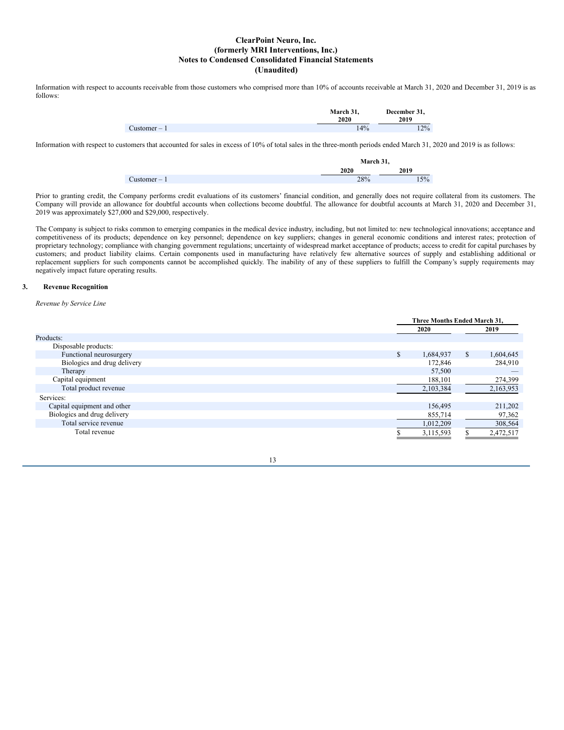Information with respect to accounts receivable from those customers who comprised more than 10% of accounts receivable at March 31, 2020 and December 31, 2019 is as follows:

|              | March 31,<br><b>2020</b> | December 31,<br>2019 |
|--------------|--------------------------|----------------------|
| Customer – 1 | 14%                      | 12%                  |

Information with respect to customers that accounted for sales in excess of 10% of total sales in the three-month periods ended March 31, 2020 and 2019 is as follows:

|                       | March 31, |      |
|-----------------------|-----------|------|
|                       | 2020      | 2019 |
| $\text{Customer} - 1$ | 28%       | 15%  |

Prior to granting credit, the Company performs credit evaluations of its customers' financial condition, and generally does not require collateral from its customers. The Company will provide an allowance for doubtful accounts when collections become doubtful. The allowance for doubtful accounts at March 31, 2020 and December 31, 2019 was approximately \$27,000 and \$29,000, respectively.

The Company is subject to risks common to emerging companies in the medical device industry, including, but not limited to: new technological innovations; acceptance and competitiveness of its products; dependence on key personnel; dependence on key suppliers; changes in general economic conditions and interest rates; protection of proprietary technology; compliance with changing government regulations; uncertainty of widespread market acceptance of products; access to credit for capital purchases by customers; and product liability claims. Certain components used in manufacturing have relatively few alternative sources of supply and establishing additional or replacement suppliers for such components cannot be accomplished quickly. The inability of any of these suppliers to fulfill the Company's supply requirements may negatively impact future operating results.

## **3. Revenue Recognition**

*Revenue by Service Line*

|                             | Three Months Ended March 31, |              |                          |
|-----------------------------|------------------------------|--------------|--------------------------|
|                             | 2020                         |              | 2019                     |
| Products:                   |                              |              |                          |
| Disposable products:        |                              |              |                          |
| Functional neurosurgery     | \$<br>1,684,937              | <sup>S</sup> | 1,604,645                |
| Biologics and drug delivery | 172,846                      |              | 284,910                  |
| Therapy                     | 57,500                       |              | $\overline{\phantom{a}}$ |
| Capital equipment           | 188,101                      |              | 274,399                  |
| Total product revenue       | 2,103,384                    |              | 2,163,953                |
| Services:                   |                              |              |                          |
| Capital equipment and other | 156,495                      |              | 211,202                  |
| Biologics and drug delivery | 855,714                      |              | 97,362                   |
| Total service revenue       | 1,012,209                    |              | 308,564                  |
| Total revenue               | 3,115,593                    |              | 2,472,517                |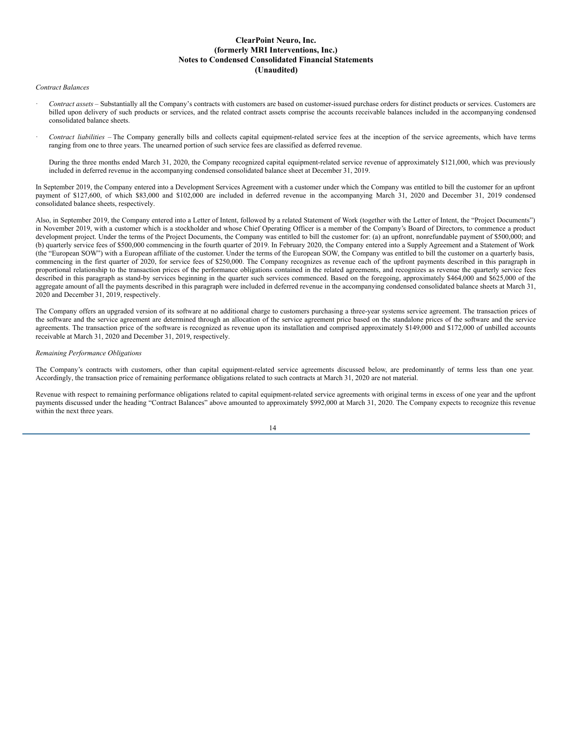#### *Contract Balances*

- · *Contract assets* Substantially all the Company's contracts with customers are based on customer-issued purchase orders for distinct products or services. Customers are billed upon delivery of such products or services, and the related contract assets comprise the accounts receivable balances included in the accompanying condensed consolidated balance sheets.
- · *Contract liabilities –* The Company generally bills and collects capital equipment-related service fees at the inception of the service agreements, which have terms ranging from one to three years. The unearned portion of such service fees are classified as deferred revenue.
	- During the three months ended March 31, 2020, the Company recognized capital equipment-related service revenue of approximately \$121,000, which was previously included in deferred revenue in the accompanying condensed consolidated balance sheet at December 31, 2019.

In September 2019, the Company entered into a Development Services Agreement with a customer under which the Company was entitled to bill the customer for an upfront payment of \$127,600, of which \$83,000 and \$102,000 are included in deferred revenue in the accompanying March 31, 2020 and December 31, 2019 condensed consolidated balance sheets, respectively.

Also, in September 2019, the Company entered into a Letter of Intent, followed by a related Statement of Work (together with the Letter of Intent, the "Project Documents") in November 2019, with a customer which is a stockholder and whose Chief Operating Officer is a member of the Company's Board of Directors, to commence a product development project. Under the terms of the Project Documents, the Company was entitled to bill the customer for: (a) an upfront, nonrefundable payment of \$500,000; and (b) quarterly service fees of \$500,000 commencing in the fourth quarter of 2019. In February 2020, the Company entered into a Supply Agreement and a Statement of Work (the "European SOW") with a European affiliate of the customer. Under the terms of the European SOW, the Company was entitled to bill the customer on a quarterly basis, commencing in the first quarter of 2020, for service fees of \$250,000. The Company recognizes as revenue each of the upfront payments described in this paragraph in proportional relationship to the transaction prices of the performance obligations contained in the related agreements, and recognizes as revenue the quarterly service fees described in this paragraph as stand-by services beginning in the quarter such services commenced. Based on the foregoing, approximately \$464,000 and \$625,000 of the aggregate amount of all the payments described in this paragraph were included in deferred revenue in the accompanying condensed consolidated balance sheets at March 31, 2020 and December 31, 2019, respectively.

The Company offers an upgraded version of its software at no additional charge to customers purchasing a three-year systems service agreement. The transaction prices of the software and the service agreement are determined through an allocation of the service agreement price based on the standalone prices of the software and the service agreements. The transaction price of the software is recognized as revenue upon its installation and comprised approximately \$149,000 and \$172,000 of unbilled accounts receivable at March 31, 2020 and December 31, 2019, respectively.

#### *Remaining Performance Obligations*

The Company's contracts with customers, other than capital equipment-related service agreements discussed below, are predominantly of terms less than one year. Accordingly, the transaction price of remaining performance obligations related to such contracts at March 31, 2020 are not material.

Revenue with respect to remaining performance obligations related to capital equipment-related service agreements with original terms in excess of one year and the upfront payments discussed under the heading "Contract Balances" above amounted to approximately \$992,000 at March 31, 2020. The Company expects to recognize this revenue within the next three years.

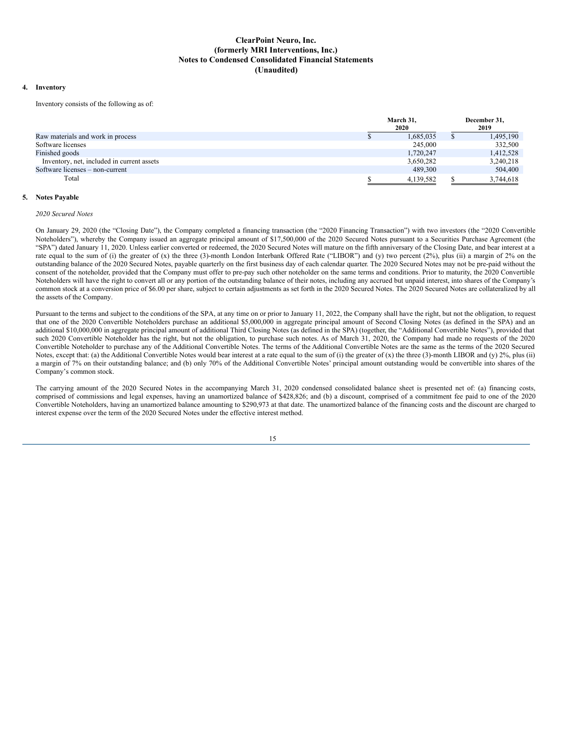### **4. Inventory**

Inventory consists of the following as of:

|                                            | March 31,<br>2020 | December 31,<br>2019 |           |  |
|--------------------------------------------|-------------------|----------------------|-----------|--|
| Raw materials and work in process          | 1,685,035         |                      | 1,495,190 |  |
| Software licenses                          | 245,000           |                      | 332,500   |  |
| Finished goods                             | 1.720.247         |                      | 1,412,528 |  |
| Inventory, net, included in current assets | 3.650.282         |                      | 3,240,218 |  |
| Software licenses – non-current            | 489,300           |                      | 504,400   |  |
| Total                                      | 4.139.582         |                      | 3,744,618 |  |

### **5. Notes Payable**

#### *2020 Secured Notes*

On January 29, 2020 (the "Closing Date"), the Company completed a financing transaction (the "2020 Financing Transaction") with two investors (the "2020 Convertible Noteholders"), whereby the Company issued an aggregate principal amount of \$17,500,000 of the 2020 Secured Notes pursuant to a Securities Purchase Agreement (the "SPA") dated January 11, 2020. Unless earlier converted or redeemed, the 2020 Secured Notes will mature on the fifth anniversary of the Closing Date, and bear interest at a rate equal to the sum of (i) the greater of (x) the three (3)-month London Interbank Offered Rate ("LIBOR") and (y) two percent (2%), plus (ii) a margin of 2% on the outstanding balance of the 2020 Secured Notes, payable quarterly on the first business day of each calendar quarter. The 2020 Secured Notes may not be pre-paid without the consent of the noteholder, provided that the Company must offer to pre-pay such other noteholder on the same terms and conditions. Prior to maturity, the 2020 Convertible Noteholders will have the right to convert all or any portion of the outstanding balance of their notes, including any accrued but unpaid interest, into shares of the Company's common stock at a conversion price of \$6.00 per share, subject to certain adjustments as set forth in the 2020 Secured Notes. The 2020 Secured Notes are collateralized by all the assets of the Company.

Pursuant to the terms and subject to the conditions of the SPA, at any time on or prior to January 11, 2022, the Company shall have the right, but not the obligation, to request that one of the 2020 Convertible Noteholders purchase an additional \$5,000,000 in aggregate principal amount of Second Closing Notes (as defined in the SPA) and an additional \$10,000,000 in aggregate principal amount of additional Third Closing Notes (as defined in the SPA) (together, the "Additional Convertible Notes"), provided that such 2020 Convertible Noteholder has the right, but not the obligation, to purchase such notes. As of March 31, 2020, the Company had made no requests of the 2020 Convertible Noteholder to purchase any of the Additional Convertible Notes. The terms of the Additional Convertible Notes are the same as the terms of the 2020 Secured Notes, except that: (a) the Additional Convertible Notes would bear interest at a rate equal to the sum of (i) the greater of (x) the three (3)-month LIBOR and (y) 2%, plus (ii) a margin of 7% on their outstanding balance; and (b) only 70% of the Additional Convertible Notes' principal amount outstanding would be convertible into shares of the Company's common stock.

The carrying amount of the 2020 Secured Notes in the accompanying March 31, 2020 condensed consolidated balance sheet is presented net of: (a) financing costs, comprised of commissions and legal expenses, having an unamortized balance of \$428,826; and (b) a discount, comprised of a commitment fee paid to one of the 2020 Convertible Noteholders, having an unamortized balance amounting to \$290,973 at that date. The unamortized balance of the financing costs and the discount are charged to interest expense over the term of the 2020 Secured Notes under the effective interest method.

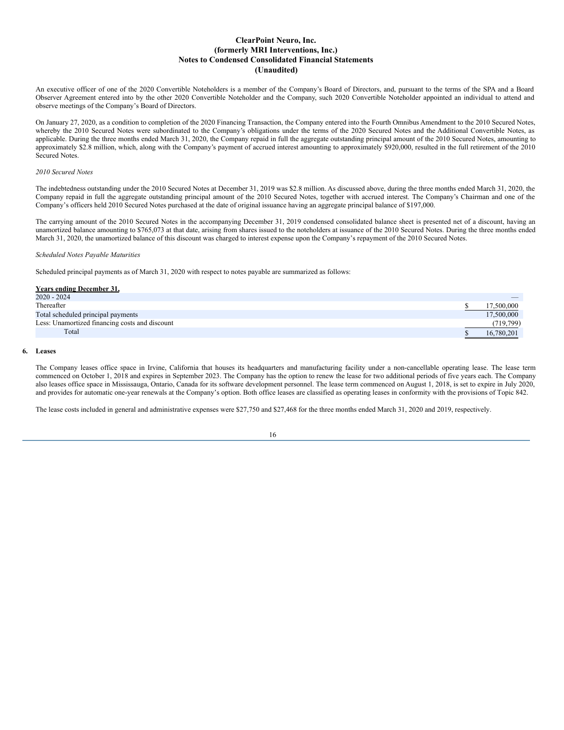An executive officer of one of the 2020 Convertible Noteholders is a member of the Company's Board of Directors, and, pursuant to the terms of the SPA and a Board Observer Agreement entered into by the other 2020 Convertible Noteholder and the Company, such 2020 Convertible Noteholder appointed an individual to attend and observe meetings of the Company's Board of Directors.

On January 27, 2020, as a condition to completion of the 2020 Financing Transaction, the Company entered into the Fourth Omnibus Amendment to the 2010 Secured Notes, whereby the 2010 Secured Notes were subordinated to the Company's obligations under the terms of the 2020 Secured Notes and the Additional Convertible Notes, as applicable. During the three months ended March 31, 2020, the Company repaid in full the aggregate outstanding principal amount of the 2010 Secured Notes, amounting to approximately \$2.8 million, which, along with the Company's payment of accrued interest amounting to approximately \$920,000, resulted in the full retirement of the 2010 Secured Notes.

### *2010 Secured Notes*

The indebtedness outstanding under the 2010 Secured Notes at December 31, 2019 was \$2.8 million. As discussed above, during the three months ended March 31, 2020, the Company repaid in full the aggregate outstanding principal amount of the 2010 Secured Notes, together with accrued interest. The Company's Chairman and one of the Company's officers held 2010 Secured Notes purchased at the date of original issuance having an aggregate principal balance of \$197,000.

The carrying amount of the 2010 Secured Notes in the accompanying December 31, 2019 condensed consolidated balance sheet is presented net of a discount, having an unamortized balance amounting to \$765,073 at that date, arising from shares issued to the noteholders at issuance of the 2010 Secured Notes. During the three months ended March 31, 2020, the unamortized balance of this discount was charged to interest expense upon the Company's repayment of the 2010 Secured Notes.

#### *Scheduled Notes Payable Maturities*

Scheduled principal payments as of March 31, 2020 with respect to notes payable are summarized as follows:

| <b>Years ending December 31,</b>               |            |
|------------------------------------------------|------------|
| 2020 - 2024                                    |            |
| Thereafter                                     | 17,500,000 |
| Total scheduled principal payments             | 17,500,000 |
| Less: Unamortized financing costs and discount | (719, 799) |
| Total                                          | 16,780,201 |

### **6. Leases**

The Company leases office space in Irvine, California that houses its headquarters and manufacturing facility under a non-cancellable operating lease. The lease term commenced on October 1, 2018 and expires in September 2023. The Company has the option to renew the lease for two additional periods of five years each. The Company also leases office space in Mississauga, Ontario, Canada for its software development personnel. The lease term commenced on August 1, 2018, is set to expire in July 2020, and provides for automatic one-year renewals at the Company's option. Both office leases are classified as operating leases in conformity with the provisions of Topic 842.

The lease costs included in general and administrative expenses were \$27,750 and \$27,468 for the three months ended March 31, 2020 and 2019, respectively.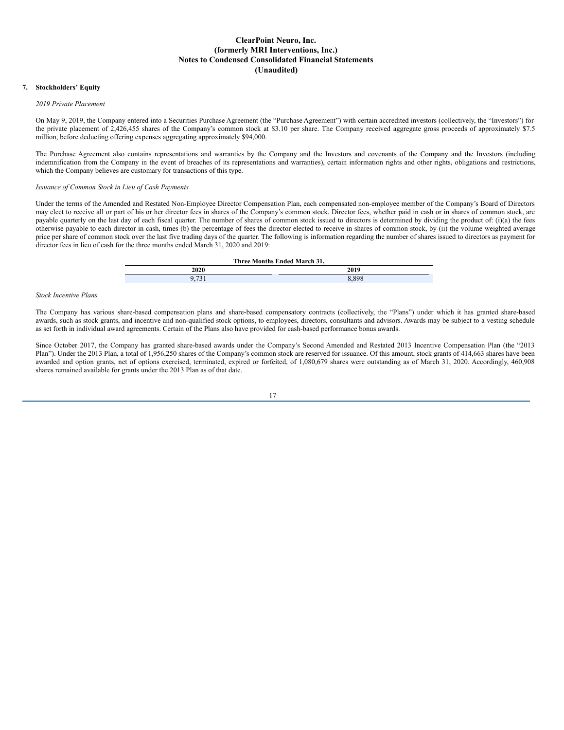### **7. Stockholders' Equity**

#### *2019 Private Placement*

On May 9, 2019, the Company entered into a Securities Purchase Agreement (the "Purchase Agreement") with certain accredited investors (collectively, the "Investors") for the private placement of 2,426,455 shares of the Company's common stock at \$3.10 per share. The Company received aggregate gross proceeds of approximately \$7.5 million, before deducting offering expenses aggregating approximately \$94,000.

The Purchase Agreement also contains representations and warranties by the Company and the Investors and covenants of the Company and the Investors (including indemnification from the Company in the event of breaches of its representations and warranties), certain information rights and other rights, obligations and restrictions, which the Company believes are customary for transactions of this type.

### *Issuance of Common Stock in Lieu of Cash Payments*

Under the terms of the Amended and Restated Non-Employee Director Compensation Plan, each compensated non-employee member of the Company's Board of Directors may elect to receive all or part of his or her director fees in shares of the Company's common stock. Director fees, whether paid in cash or in shares of common stock, are payable quarterly on the last day of each fiscal quarter. The number of shares of common stock issued to directors is determined by dividing the product of: (i)(a) the fees otherwise payable to each director in cash, times (b) the percentage of fees the director elected to receive in shares of common stock, by (ii) the volume weighted average price per share of common stock over the last five trading days of the quarter. The following is information regarding the number of shares issued to directors as payment for director fees in lieu of cash for the three months ended March 31, 2020 and 2019:

|                   | Three Months Ended March 31. |
|-------------------|------------------------------|
| 2020              | 2019                         |
| 0.721<br>9. I O I | 8.898                        |

#### *Stock Incentive Plans*

The Company has various share-based compensation plans and share-based compensatory contracts (collectively, the "Plans") under which it has granted share-based awards, such as stock grants, and incentive and non-qualified stock options, to employees, directors, consultants and advisors. Awards may be subject to a vesting schedule as set forth in individual award agreements. Certain of the Plans also have provided for cash-based performance bonus awards.

Since October 2017, the Company has granted share-based awards under the Company's Second Amended and Restated 2013 Incentive Compensation Plan (the "2013 Plan"). Under the 2013 Plan, a total of 1,956,250 shares of the Company's common stock are reserved for issuance. Of this amount, stock grants of 414,663 shares have been awarded and option grants, net of options exercised, terminated, expired or forfeited, of 1,080,679 shares were outstanding as of March 31, 2020. Accordingly, 460,908 shares remained available for grants under the 2013 Plan as of that date.

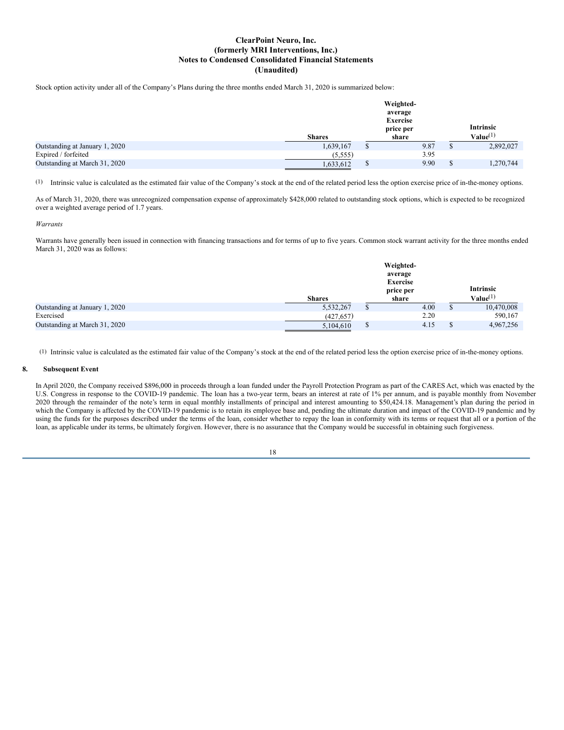Stock option activity under all of the Company's Plans during the three months ended March 31, 2020 is summarized below:

|                                | <b>Shares</b> | Weighted-<br>average<br><b>Exercise</b><br>price per<br>share |      | Intrinsic<br>$Value^{(1)}$ |
|--------------------------------|---------------|---------------------------------------------------------------|------|----------------------------|
| Outstanding at January 1, 2020 | 1,639,167     |                                                               | 9.87 | 2,892,027                  |
| Expired / forfeited            | (5, 555)      |                                                               | 3.95 |                            |
| Outstanding at March 31, 2020  | 1,633,612     |                                                               | 9.90 | 1,270,744                  |

(1) Intrinsic value is calculated as the estimated fair value of the Company's stock at the end of the related period less the option exercise price of in-the-money options.

As of March 31, 2020, there was unrecognized compensation expense of approximately \$428,000 related to outstanding stock options, which is expected to be recognized over a weighted average period of 1.7 years.

### *Warrants*

Warrants have generally been issued in connection with financing transactions and for terms of up to five years. Common stock warrant activity for the three months ended March 31, 2020 was as follows:

|                                |               | Weighted-<br>average<br>Exercise<br>price per |      |    | Intrinsic     |
|--------------------------------|---------------|-----------------------------------------------|------|----|---------------|
|                                | <b>Shares</b> | share                                         |      |    | $Value^{(1)}$ |
| Outstanding at January 1, 2020 | 5,532,267     |                                               | 4.00 | ۰υ | 10,470,008    |
| Exercised                      | (427, 657)    |                                               | 2.20 |    | 590,167       |
| Outstanding at March 31, 2020  | 5,104,610     |                                               | 4.15 |    | 4,967,256     |

(1) Intrinsic value is calculated as the estimated fair value of the Company's stock at the end of the related period less the option exercise price of in-the-money options.

## **8. Subsequent Event**

In April 2020, the Company received \$896,000 in proceeds through a loan funded under the Payroll Protection Program as part of the CARES Act, which was enacted by the U.S. Congress in response to the COVID-19 pandemic. The loan has a two-year term, bears an interest at rate of 1% per annum, and is payable monthly from November 2020 through the remainder of the note's term in equal monthly installments of principal and interest amounting to \$50,424.18. Management's plan during the period in which the Company is affected by the COVID-19 pandemic is to retain its employee base and, pending the ultimate duration and impact of the COVID-19 pandemic and by using the funds for the purposes described under the terms of the loan, consider whether to repay the loan in conformity with its terms or request that all or a portion of the loan, as applicable under its terms, be ultimately forgiven. However, there is no assurance that the Company would be successful in obtaining such forgiveness.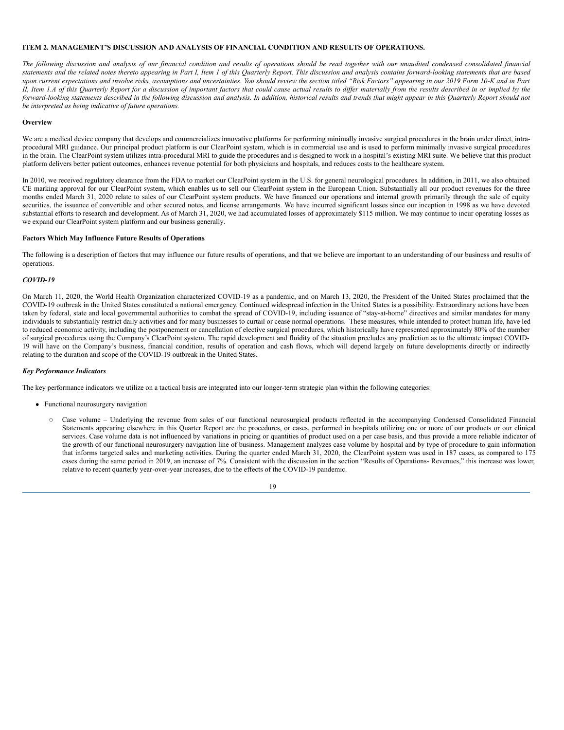## <span id="page-18-0"></span>**ITEM 2. MANAGEMENT'S DISCUSSION AND ANALYSIS OF FINANCIAL CONDITION AND RESULTS OF OPERATIONS.**

The following discussion and analysis of our financial condition and results of operations should be read together with our unaudited condensed consolidated financial statements and the related notes thereto appearing in Part I, Item 1 of this Quarterly Report. This discussion and analysis contains forward-looking statements that are based upon current expectations and involve risks, assumptions and uncertainties. You should review the section titled "Risk Factors" appearing in our 2019 Form 10-K and in Part II, Item 1.A of this Quarterly Report for a discussion of important factors that could cause actual results to differ materially from the results described in or implied by the forward-looking statements described in the following discussion and analysis. In addition, historical results and trends that might appear in this Quarterly Report should not *be interpreted as being indicative of future operations.*

## **Overview**

We are a medical device company that develops and commercializes innovative platforms for performing minimally invasive surgical procedures in the brain under direct, intraprocedural MRI guidance. Our principal product platform is our ClearPoint system, which is in commercial use and is used to perform minimally invasive surgical procedures in the brain. The ClearPoint system utilizes intra-procedural MRI to guide the procedures and is designed to work in a hospital's existing MRI suite. We believe that this product platform delivers better patient outcomes, enhances revenue potential for both physicians and hospitals, and reduces costs to the healthcare system.

In 2010, we received regulatory clearance from the FDA to market our ClearPoint system in the U.S. for general neurological procedures. In addition, in 2011, we also obtained CE marking approval for our ClearPoint system, which enables us to sell our ClearPoint system in the European Union. Substantially all our product revenues for the three months ended March 31, 2020 relate to sales of our ClearPoint system products. We have financed our operations and internal growth primarily through the sale of equity securities, the issuance of convertible and other secured notes, and license arrangements. We have incurred significant losses since our inception in 1998 as we have devoted substantial efforts to research and development. As of March 31, 2020, we had accumulated losses of approximately \$115 million. We may continue to incur operating losses as we expand our ClearPoint system platform and our business generally.

### **Factors Which May Influence Future Results of Operations**

The following is a description of factors that may influence our future results of operations, and that we believe are important to an understanding of our business and results of operations.

### *COVID-19*

On March 11, 2020, the World Health Organization characterized COVID-19 as a pandemic, and on March 13, 2020, the President of the United States proclaimed that the COVID-19 outbreak in the United States constituted a national emergency. Continued widespread infection in the United States is a possibility. Extraordinary actions have been taken by federal, state and local governmental authorities to combat the spread of COVID-19, including issuance of "stay-at-home" directives and similar mandates for many individuals to substantially restrict daily activities and for many businesses to curtail or cease normal operations. These measures, while intended to protect human life, have led to reduced economic activity, including the postponement or cancellation of elective surgical procedures, which historically have represented approximately 80% of the number of surgical procedures using the Company's ClearPoint system. The rapid development and fluidity of the situation precludes any prediction as to the ultimate impact COVID-19 will have on the Company's business, financial condition, results of operation and cash flows, which will depend largely on future developments directly or indirectly relating to the duration and scope of the COVID-19 outbreak in the United States.

## *Key Performance Indicators*

The key performance indicators we utilize on a tactical basis are integrated into our longer-term strategic plan within the following categories:

- Functional neurosurgery navigation
	- o Case volume Underlying the revenue from sales of our functional neurosurgical products reflected in the accompanying Condensed Consolidated Financial Statements appearing elsewhere in this Quarter Report are the procedures, or cases, performed in hospitals utilizing one or more of our products or our clinical services. Case volume data is not influenced by variations in pricing or quantities of product used on a per case basis, and thus provide a more reliable indicator of the growth of our functional neurosurgery navigation line of business. Management analyzes case volume by hospital and by type of procedure to gain information that informs targeted sales and marketing activities. During the quarter ended March 31, 2020, the ClearPoint system was used in 187 cases, as compared to 175 cases during the same period in 2019, an increase of 7%. Consistent with the discussion in the section "Results of Operations- Revenues," this increase was lower, relative to recent quarterly year-over-year increases, due to the effects of the COVID-19 pandemic.

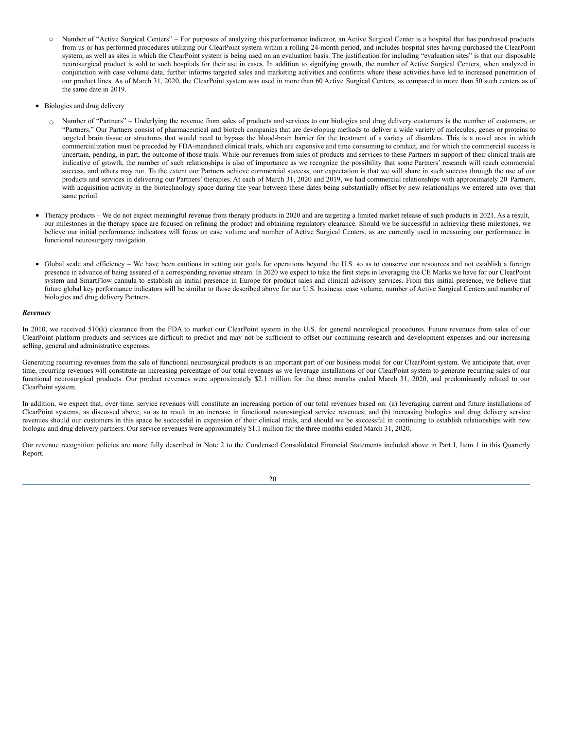- o Number of "Active Surgical Centers" For purposes of analyzing this performance indicator, an Active Surgical Center is a hospital that has purchased products from us or has performed procedures utilizing our ClearPoint system within a rolling 24-month period, and includes hospital sites having purchased the ClearPoint system, as well as sites in which the ClearPoint system is being used on an evaluation basis. The justification for including "evaluation sites" is that our disposable neurosurgical product is sold to such hospitals for their use in cases. In addition to signifying growth, the number of Active Surgical Centers, when analyzed in conjunction with case volume data, further informs targeted sales and marketing activities and confirms where these activities have led to increased penetration of our product lines. As of March 31, 2020, the ClearPoint system was used in more than 60 Active Surgical Centers, as compared to more than 50 such centers as of the same date in 2019.
- Biologics and drug delivery
	- o Number of "Partners" Underlying the revenue from sales of products and services to our biologics and drug delivery customers is the number of customers, or "Partners." Our Partners consist of pharmaceutical and biotech companies that are developing methods to deliver a wide variety of molecules, genes or proteins to targeted brain tissue or structures that would need to bypass the blood-brain barrier for the treatment of a variety of disorders. This is a novel area in which commercialization must be preceded by FDA-mandated clinical trials, which are expensive and time consuming to conduct, and for which the commercial success is uncertain, pending, in part, the outcome of those trials. While our revenues from sales of products and services to these Partners in support of their clinical trials are indicative of growth, the number of such relationships is also of importance as we recognize the possibility that some Partners' research will reach commercial success, and others may not. To the extent our Partners achieve commercial success, our expectation is that we will share in such success through the use of our products and services in delivering our Partners' therapies. At each of March 31, 2020 and 2019, we had commercial relationships with approximately 20 Partners, with acquisition activity in the biotechnology space during the year between these dates being substantially offset by new relationships we entered into over that same period.
- Therapy products We do not expect meaningful revenue from therapy products in 2020 and are targeting a limited market release of such products in 2021. As a result, our milestones in the therapy space are focused on refining the product and obtaining regulatory clearance. Should we be successful in achieving these milestones, we believe our initial performance indicators will focus on case volume and number of Active Surgical Centers, as are currently used in measuring our performance in functional neurosurgery navigation.
- Global scale and efficiency We have been cautious in setting our goals for operations beyond the U.S. so as to conserve our resources and not establish a foreign presence in advance of being assured of a corresponding revenue stream. In 2020 we expect to take the first steps in leveraging the CE Marks we have for our ClearPoint system and SmartFlow cannula to establish an initial presence in Europe for product sales and clinical advisory services. From this initial presence, we believe that future global key performance indicators will be similar to those described above for our U.S. business: case volume, number of Active Surgical Centers and number of biologics and drug delivery Partners.

#### *Revenues*

In 2010, we received 510(k) clearance from the FDA to market our ClearPoint system in the U.S. for general neurological procedures. Future revenues from sales of our ClearPoint platform products and services are difficult to predict and may not be sufficient to offset our continuing research and development expenses and our increasing selling, general and administrative expenses.

Generating recurring revenues from the sale of functional neurosurgical products is an important part of our business model for our ClearPoint system. We anticipate that, over time, recurring revenues will constitute an increasing percentage of our total revenues as we leverage installations of our ClearPoint system to generate recurring sales of our functional neurosurgical products. Our product revenues were approximately \$2.1 million for the three months ended March 31, 2020, and predominantly related to our ClearPoint system.

In addition, we expect that, over time, service revenues will constitute an increasing portion of our total revenues based on: (a) leveraging current and future installations of ClearPoint systems, as discussed above, so as to result in an increase in functional neurosurgical service revenues; and (b) increasing biologics and drug delivery service revenues should our customers in this space be successful in expansion of their clinical trials, and should we be successful in continuing to establish relationships with new biologic and drug delivery partners. Our service revenues were approximately \$1.1 million for the three months ended March 31, 2020.

Our revenue recognition policies are more fully described in Note 2 to the Condensed Consolidated Financial Statements included above in Part I, Item 1 in this Quarterly Report.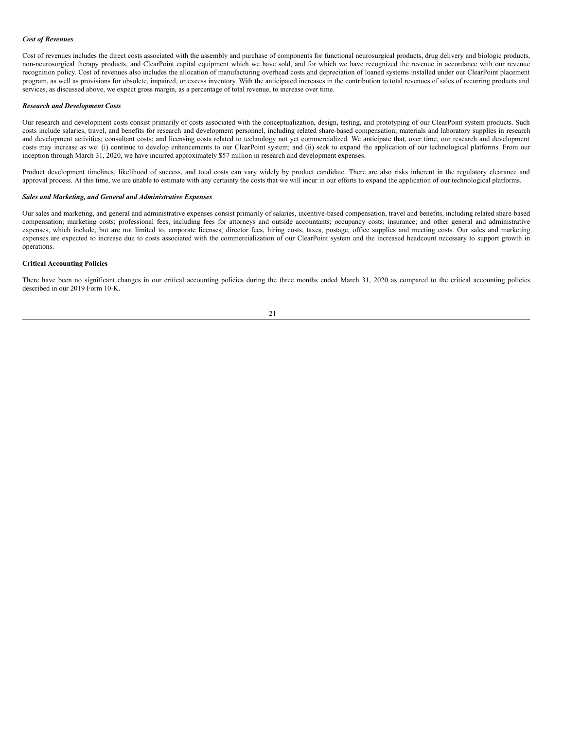### *Cost of Revenues*

Cost of revenues includes the direct costs associated with the assembly and purchase of components for functional neurosurgical products, drug delivery and biologic products, non-neurosurgical therapy products, and ClearPoint capital equipment which we have sold, and for which we have recognized the revenue in accordance with our revenue recognition policy. Cost of revenues also includes the allocation of manufacturing overhead costs and depreciation of loaned systems installed under our ClearPoint placement program, as well as provisions for obsolete, impaired, or excess inventory. With the anticipated increases in the contribution to total revenues of sales of recurring products and services, as discussed above, we expect gross margin, as a percentage of total revenue, to increase over time.

## *Research and Development Costs*

Our research and development costs consist primarily of costs associated with the conceptualization, design, testing, and prototyping of our ClearPoint system products. Such costs include salaries, travel, and benefits for research and development personnel, including related share-based compensation; materials and laboratory supplies in research and development activities; consultant costs; and licensing costs related to technology not yet commercialized. We anticipate that, over time, our research and development costs may increase as we: (i) continue to develop enhancements to our ClearPoint system; and (ii) seek to expand the application of our technological platforms. From our inception through March 31, 2020, we have incurred approximately \$57 million in research and development expenses.

Product development timelines, likelihood of success, and total costs can vary widely by product candidate. There are also risks inherent in the regulatory clearance and approval process. At this time, we are unable to estimate with any certainty the costs that we will incur in our efforts to expand the application of our technological platforms.

## *Sales and Marketing, and General and Administrative Expenses*

Our sales and marketing, and general and administrative expenses consist primarily of salaries, incentive-based compensation, travel and benefits, including related share-based compensation; marketing costs; professional fees, including fees for attorneys and outside accountants; occupancy costs; insurance; and other general and administrative expenses, which include, but are not limited to, corporate licenses, director fees, hiring costs, taxes, postage, office supplies and meeting costs. Our sales and marketing expenses are expected to increase due to costs associated with the commercialization of our ClearPoint system and the increased headcount necessary to support growth in operations.

## **Critical Accounting Policies**

There have been no significant changes in our critical accounting policies during the three months ended March 31, 2020 as compared to the critical accounting policies described in our 2019 Form 10-K.

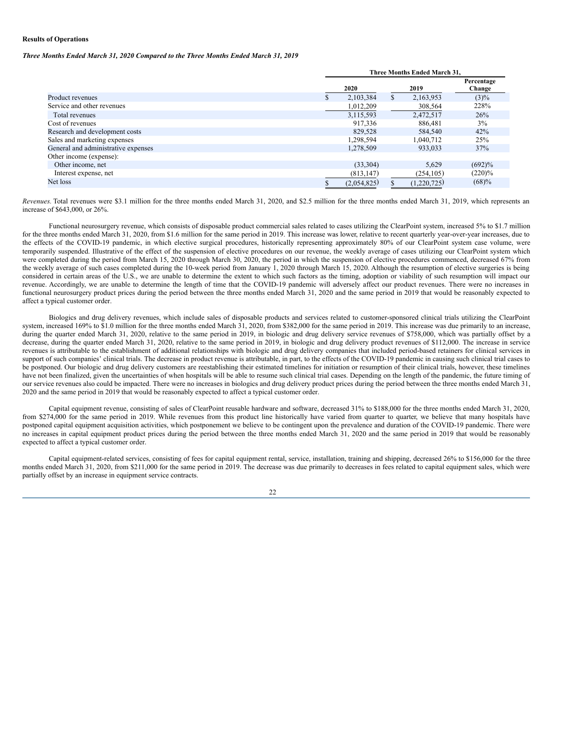## **Results of Operations**

### *Three Months Ended March 31, 2020 Compared to the Three Months Ended March 31, 2019*

|                                     | <b>Three Months Ended March 31.</b> |             |      |             |                      |
|-------------------------------------|-------------------------------------|-------------|------|-------------|----------------------|
|                                     | 2020                                |             | 2019 |             | Percentage<br>Change |
| Product revenues                    |                                     | 2,103,384   | S.   | 2,163,953   | $(3)\%$              |
| Service and other revenues          |                                     | 1,012,209   |      | 308,564     | 228%                 |
| Total revenues                      |                                     | 3,115,593   |      | 2,472,517   | 26%                  |
| Cost of revenues                    |                                     | 917.336     |      | 886,481     | $3\%$                |
| Research and development costs      |                                     | 829.528     |      | 584,540     | 42%                  |
| Sales and marketing expenses        |                                     | 1.298.594   |      | 1,040,712   | 25%                  |
| General and administrative expenses |                                     | 1,278,509   |      | 933.033     | 37%                  |
| Other income (expense):             |                                     |             |      |             |                      |
| Other income, net                   |                                     | (33,304)    |      | 5,629       | (692)%               |
| Interest expense, net               |                                     | (813, 147)  |      | (254.105)   | $(220)\%$            |
| Net loss                            |                                     | (2,054,825) |      | (1,220,725) | (68)%                |

*Revenues.* Total revenues were \$3.1 million for the three months ended March 31, 2020, and \$2.5 million for the three months ended March 31, 2019, which represents an increase of \$643,000, or 26%.

Functional neurosurgery revenue, which consists of disposable product commercial sales related to cases utilizing the ClearPoint system, increased 5% to \$1.7 million for the three months ended March 31, 2020, from \$1.6 million for the same period in 2019. This increase was lower, relative to recent quarterly year-over-year increases, due to the effects of the COVID-19 pandemic, in which elective surgical procedures, historically representing approximately 80% of our ClearPoint system case volume, were temporarily suspended. Illustrative of the effect of the suspension of elective procedures on our revenue, the weekly average of cases utilizing our ClearPoint system which were completed during the period from March 15, 2020 through March 30, 2020, the period in which the suspension of elective procedures commenced, decreased 67% from the weekly average of such cases completed during the 10-week period from January 1, 2020 through March 15, 2020. Although the resumption of elective surgeries is being considered in certain areas of the U.S., we are unable to determine the extent to which such factors as the timing, adoption or viability of such resumption will impact our revenue. Accordingly, we are unable to determine the length of time that the COVID-19 pandemic will adversely affect our product revenues. There were no increases in functional neurosurgery product prices during the period between the three months ended March 31, 2020 and the same period in 2019 that would be reasonably expected to affect a typical customer order.

Biologics and drug delivery revenues, which include sales of disposable products and services related to customer-sponsored clinical trials utilizing the ClearPoint system, increased 169% to \$1.0 million for the three months ended March 31, 2020, from \$382,000 for the same period in 2019. This increase was due primarily to an increase, during the quarter ended March 31, 2020, relative to the same period in 2019, in biologic and drug delivery service revenues of \$758,000, which was partially offset by a decrease, during the quarter ended March 31, 2020, relative to the same period in 2019, in biologic and drug delivery product revenues of \$112,000. The increase in service revenues is attributable to the establishment of additional relationships with biologic and drug delivery companies that included period-based retainers for clinical services in support of such companies' clinical trials. The decrease in product revenue is attributable, in part, to the effects of the COVID-19 pandemic in causing such clinical trial cases to be postponed. Our biologic and drug delivery customers are reestablishing their estimated timelines for initiation or resumption of their clinical trials, however, these timelines have not been finalized, given the uncertainties of when hospitals will be able to resume such clinical trial cases. Depending on the length of the pandemic, the future timing of our service revenues also could be impacted. There were no increases in biologics and drug delivery product prices during the period between the three months ended March 31, 2020 and the same period in 2019 that would be reasonably expected to affect a typical customer order.

Capital equipment revenue, consisting of sales of ClearPoint reusable hardware and software, decreased 31% to \$188,000 for the three months ended March 31, 2020, from \$274,000 for the same period in 2019. While revenues from this product line historically have varied from quarter to quarter, we believe that many hospitals have postponed capital equipment acquisition activities, which postponement we believe to be contingent upon the prevalence and duration of the COVID-19 pandemic. There were no increases in capital equipment product prices during the period between the three months ended March 31, 2020 and the same period in 2019 that would be reasonably expected to affect a typical customer order.

Capital equipment-related services, consisting of fees for capital equipment rental, service, installation, training and shipping, decreased 26% to \$156,000 for the three months ended March 31, 2020, from \$211,000 for the same period in 2019. The decrease was due primarily to decreases in fees related to capital equipment sales, which were partially offset by an increase in equipment service contracts.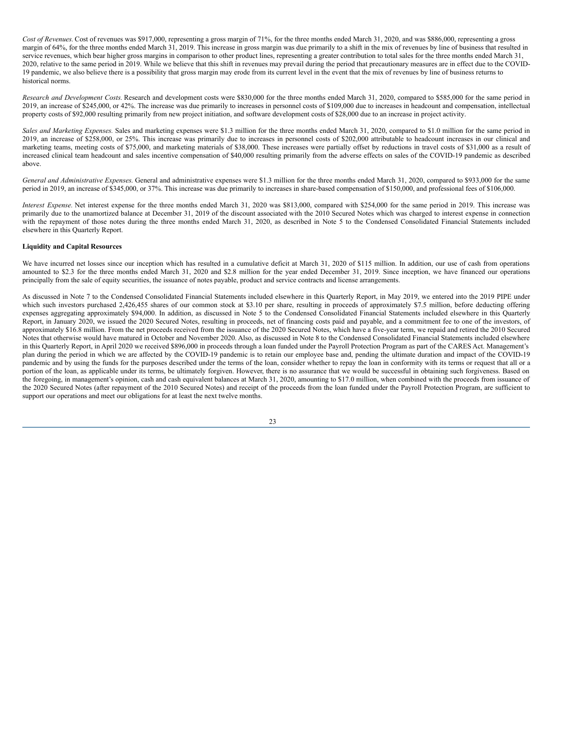*Cost of Revenues.* Cost of revenues was \$917,000, representing a gross margin of 71%, for the three months ended March 31, 2020, and was \$886,000, representing a gross margin of 64%, for the three months ended March 31, 2019. This increase in gross margin was due primarily to a shift in the mix of revenues by line of business that resulted in service revenues, which bear higher gross margins in comparison to other product lines, representing a greater contribution to total sales for the three months ended March 31, 2020, relative to the same period in 2019. While we believe that this shift in revenues may prevail during the period that precautionary measures are in effect due to the COVID-19 pandemic, we also believe there is a possibility that gross margin may erode from its current level in the event that the mix of revenues by line of business returns to historical norms.

*Research and Development Costs.* Research and development costs were \$830,000 for the three months ended March 31, 2020, compared to \$585,000 for the same period in 2019, an increase of \$245,000, or 42%. The increase was due primarily to increases in personnel costs of \$109,000 due to increases in headcount and compensation, intellectual property costs of \$92,000 resulting primarily from new project initiation, and software development costs of \$28,000 due to an increase in project activity.

*Sales and Marketing Expenses.* Sales and marketing expenses were \$1.3 million for the three months ended March 31, 2020, compared to \$1.0 million for the same period in 2019, an increase of \$258,000, or 25%. This increase was primarily due to increases in personnel costs of \$202,000 attributable to headcount increases in our clinical and marketing teams, meeting costs of \$75,000, and marketing materials of \$38,000. These increases were partially offset by reductions in travel costs of \$31,000 as a result of increased clinical team headcount and sales incentive compensation of \$40,000 resulting primarily from the adverse effects on sales of the COVID-19 pandemic as described above.

*General and Administrative Expenses*. General and administrative expenses were \$1.3 million for the three months ended March 31, 2020, compared to \$933,000 for the same period in 2019, an increase of \$345,000, or 37%. This increase was due primarily to increases in share-based compensation of \$150,000, and professional fees of \$106,000.

*Interest Expense.* Net interest expense for the three months ended March 31, 2020 was \$813,000, compared with \$254,000 for the same period in 2019. This increase was primarily due to the unamortized balance at December 31, 2019 of the discount associated with the 2010 Secured Notes which was charged to interest expense in connection with the repayment of those notes during the three months ended March 31, 2020, as described in Note 5 to the Condensed Consolidated Financial Statements included elsewhere in this Quarterly Report.

## **Liquidity and Capital Resources**

We have incurred net losses since our inception which has resulted in a cumulative deficit at March 31, 2020 of \$115 million. In addition, our use of cash from operations amounted to \$2.3 for the three months ended March 31, 2020 and \$2.8 million for the year ended December 31, 2019. Since inception, we have financed our operations principally from the sale of equity securities, the issuance of notes payable, product and service contracts and license arrangements.

As discussed in Note 7 to the Condensed Consolidated Financial Statements included elsewhere in this Quarterly Report, in May 2019, we entered into the 2019 PIPE under which such investors purchased 2,426,455 shares of our common stock at \$3.10 per share, resulting in proceeds of approximately \$7.5 million, before deducting offering expenses aggregating approximately \$94,000. In addition, as discussed in Note 5 to the Condensed Consolidated Financial Statements included elsewhere in this Quarterly Report, in January 2020, we issued the 2020 Secured Notes, resulting in proceeds, net of financing costs paid and payable, and a commitment fee to one of the investors, of approximately \$16.8 million. From the net proceeds received from the issuance of the 2020 Secured Notes, which have a five-year term, we repaid and retired the 2010 Secured Notes that otherwise would have matured in October and November 2020. Also, as discussed in Note 8 to the Condensed Consolidated Financial Statements included elsewhere in this Quarterly Report, in April 2020 we received \$896,000 in proceeds through a loan funded under the Payroll Protection Program as part of the CARES Act. Management's plan during the period in which we are affected by the COVID-19 pandemic is to retain our employee base and, pending the ultimate duration and impact of the COVID-19 pandemic and by using the funds for the purposes described under the terms of the loan, consider whether to repay the loan in conformity with its terms or request that all or a portion of the loan, as applicable under its terms, be ultimately forgiven. However, there is no assurance that we would be successful in obtaining such forgiveness. Based on the foregoing, in management's opinion, cash and cash equivalent balances at March 31, 2020, amounting to \$17.0 million, when combined with the proceeds from issuance of the 2020 Secured Notes (after repayment of the 2010 Secured Notes) and receipt of the proceeds from the loan funded under the Payroll Protection Program, are sufficient to support our operations and meet our obligations for at least the next twelve months.

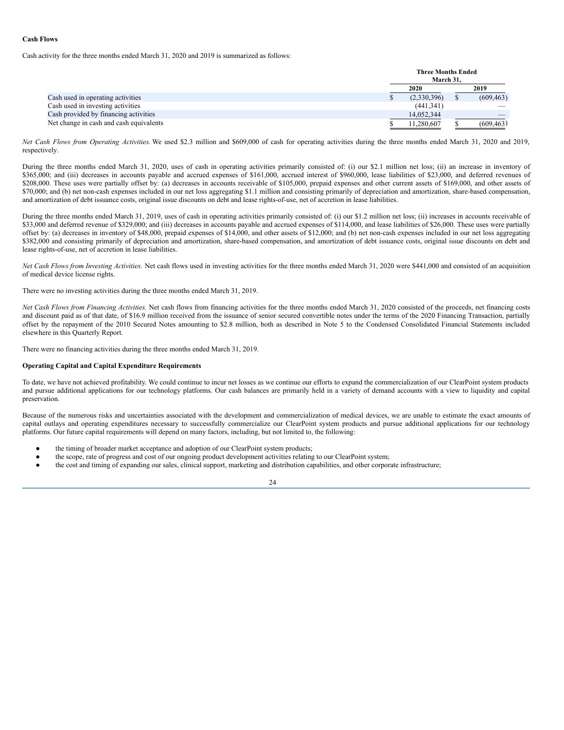## **Cash Flows**

Cash activity for the three months ended March 31, 2020 and 2019 is summarized as follows:

|                                         | <b>Three Months Ended</b><br>March 31. |  |            |
|-----------------------------------------|----------------------------------------|--|------------|
|                                         | 2020                                   |  | 2019       |
| Cash used in operating activities       | (2,330,396)                            |  | (609, 463) |
| Cash used in investing activities       | (441, 341)                             |  | _          |
| Cash provided by financing activities   | 14.052.344                             |  |            |
| Net change in cash and cash equivalents | 11.280.607                             |  | (609, 463) |

*Net Cash Flows from Operating Activities.* We used \$2.3 million and \$609,000 of cash for operating activities during the three months ended March 31, 2020 and 2019, respectively.

During the three months ended March 31, 2020, uses of cash in operating activities primarily consisted of: (i) our \$2.1 million net loss; (ii) an increase in inventory of \$365,000; and (iii) decreases in accounts payable and accrued expenses of \$161,000, accrued interest of \$960,000, lease liabilities of \$23,000, and deferred revenues of \$208,000. These uses were partially offset by: (a) decreases in accounts receivable of \$105,000, prepaid expenses and other current assets of \$169,000, and other assets of \$70,000; and (b) net non-cash expenses included in our net loss aggregating \$1.1 million and consisting primarily of depreciation and amortization, share-based compensation, and amortization of debt issuance costs, original issue discounts on debt and lease rights-of-use, net of accretion in lease liabilities.

During the three months ended March 31, 2019, uses of cash in operating activities primarily consisted of: (i) our \$1.2 million net loss; (ii) increases in accounts receivable of \$33,000 and deferred revenue of \$329,000; and (iii) decreases in accounts payable and accrued expenses of \$114,000, and lease liabilities of \$26,000. These uses were partially offset by: (a) decreases in inventory of \$48,000, prepaid expenses of \$14,000, and other assets of \$12,000; and (b) net non-cash expenses included in our net loss aggregating \$382,000 and consisting primarily of depreciation and amortization, share-based compensation, and amortization of debt issuance costs, original issue discounts on debt and lease rights-of-use, net of accretion in lease liabilities.

*Net Cash Flows from Investing Activities.* Net cash flows used in investing activities for the three months ended March 31, 2020 were \$441,000 and consisted of an acquisition of medical device license rights.

There were no investing activities during the three months ended March 31, 2019.

*Net Cash Flows from Financing Activities.* Net cash flows from financing activities for the three months ended March 31, 2020 consisted of the proceeds, net financing costs and discount paid as of that date, of \$16.9 million received from the issuance of senior secured convertible notes under the terms of the 2020 Financing Transaction, partially offset by the repayment of the 2010 Secured Notes amounting to \$2.8 million, both as described in Note 5 to the Condensed Consolidated Financial Statements included elsewhere in this Quarterly Report.

There were no financing activities during the three months ended March 31, 2019.

## **Operating Capital and Capital Expenditure Requirements**

To date, we have not achieved profitability. We could continue to incur net losses as we continue our efforts to expand the commercialization of our ClearPoint system products and pursue additional applications for our technology platforms. Our cash balances are primarily held in a variety of demand accounts with a view to liquidity and capital preservation.

Because of the numerous risks and uncertainties associated with the development and commercialization of medical devices, we are unable to estimate the exact amounts of capital outlays and operating expenditures necessary to successfully commercialize our ClearPoint system products and pursue additional applications for our technology platforms. Our future capital requirements will depend on many factors, including, but not limited to, the following:

- the timing of broader market acceptance and adoption of our ClearPoint system products;
- the scope, rate of progress and cost of our ongoing product development activities relating to our ClearPoint system;
- the cost and timing of expanding our sales, clinical support, marketing and distribution capabilities, and other corporate infrastructure;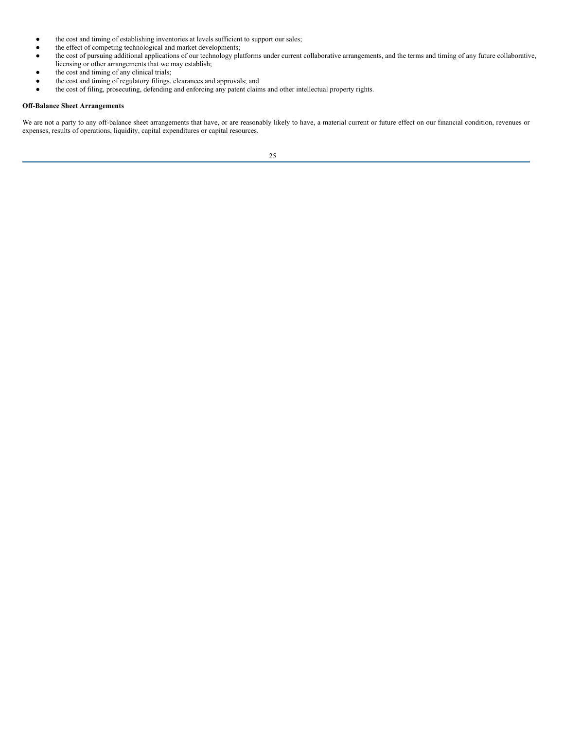- the cost and timing of establishing inventories at levels sufficient to support our sales;
- the effect of competing technological and market developments;
- the cost of pursuing additional applications of our technology platforms under current collaborative arrangements, and the terms and timing of any future collaborative, licensing or other arrangements that we may establish;
- the cost and timing of any clinical trials;
- the cost and timing of regulatory filings, clearances and approvals; and
- the cost of filing, prosecuting, defending and enforcing any patent claims and other intellectual property rights.

## **Off-Balance Sheet Arrangements**

We are not a party to any off-balance sheet arrangements that have, or are reasonably likely to have, a material current or future effect on our financial condition, revenues or expenses, results of operations, liquidity, capital expenditures or capital resources.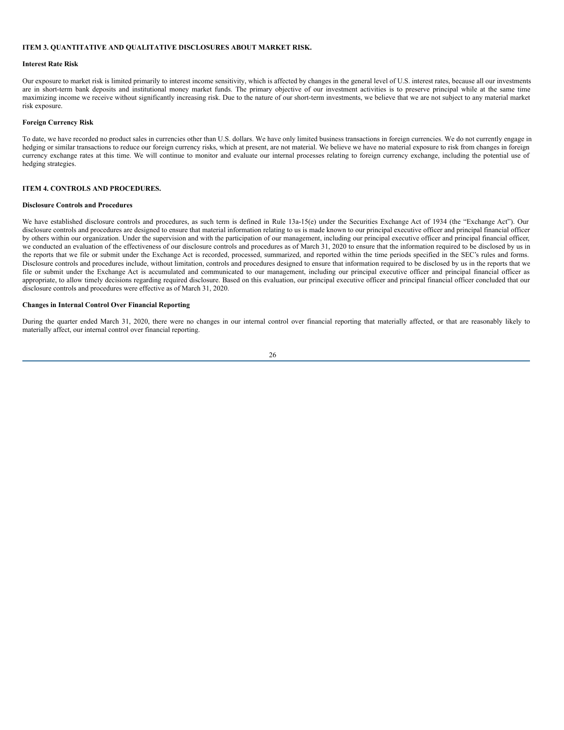### <span id="page-25-0"></span>**ITEM 3. QUANTITATIVE AND QUALITATIVE DISCLOSURES ABOUT MARKET RISK.**

## **Interest Rate Risk**

Our exposure to market risk is limited primarily to interest income sensitivity, which is affected by changes in the general level of U.S. interest rates, because all our investments are in short-term bank deposits and institutional money market funds. The primary objective of our investment activities is to preserve principal while at the same time maximizing income we receive without significantly increasing risk. Due to the nature of our short-term investments, we believe that we are not subject to any material market risk exposure.

## **Foreign Currency Risk**

To date, we have recorded no product sales in currencies other than U.S. dollars. We have only limited business transactions in foreign currencies. We do not currently engage in hedging or similar transactions to reduce our foreign currency risks, which at present, are not material. We believe we have no material exposure to risk from changes in foreign currency exchange rates at this time. We will continue to monitor and evaluate our internal processes relating to foreign currency exchange, including the potential use of hedging strategies.

## <span id="page-25-1"></span>**ITEM 4. CONTROLS AND PROCEDURES.**

## **Disclosure Controls and Procedures**

We have established disclosure controls and procedures, as such term is defined in Rule 13a-15(e) under the Securities Exchange Act of 1934 (the "Exchange Act"). Our disclosure controls and procedures are designed to ensure that material information relating to us is made known to our principal executive officer and principal financial officer by others within our organization. Under the supervision and with the participation of our management, including our principal executive officer and principal financial officer, we conducted an evaluation of the effectiveness of our disclosure controls and procedures as of March 31, 2020 to ensure that the information required to be disclosed by us in the reports that we file or submit under the Exchange Act is recorded, processed, summarized, and reported within the time periods specified in the SEC's rules and forms. Disclosure controls and procedures include, without limitation, controls and procedures designed to ensure that information required to be disclosed by us in the reports that we file or submit under the Exchange Act is accumulated and communicated to our management, including our principal executive officer and principal financial officer as appropriate, to allow timely decisions regarding required disclosure. Based on this evaluation, our principal executive officer and principal financial officer concluded that our disclosure controls and procedures were effective as of March 31, 2020.

## **Changes in Internal Control Over Financial Reporting**

During the quarter ended March 31, 2020, there were no changes in our internal control over financial reporting that materially affected, or that are reasonably likely to materially affect, our internal control over financial reporting.

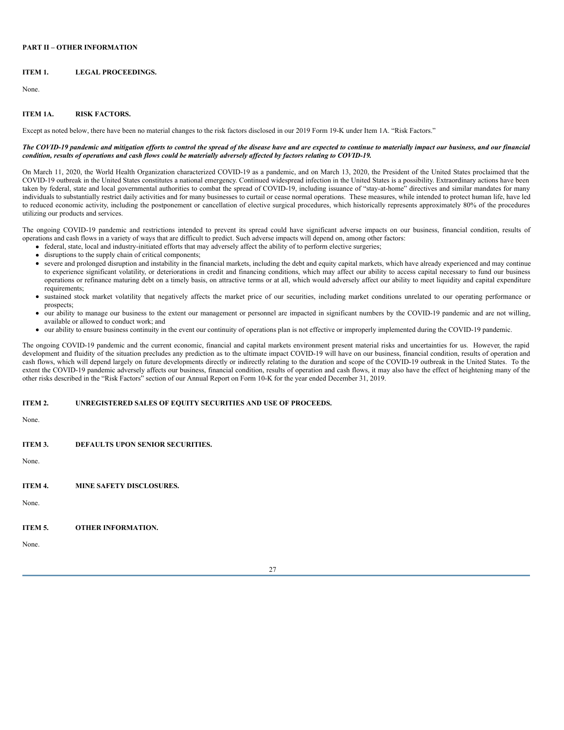## <span id="page-26-0"></span>**PART II – OTHER INFORMATION**

## <span id="page-26-1"></span>**ITEM 1. LEGAL PROCEEDINGS.**

None.

## <span id="page-26-2"></span>**ITEM 1A. RISK FACTORS.**

Except as noted below, there have been no material changes to the risk factors disclosed in our 2019 Form 19-K under Item 1A. "Risk Factors."

## The COVID-19 pandemic and mitigation efforts to control the spread of the disease have and are expected to continue to materially impact our business, and our financial condition, results of operations and cash flows could be materially adversely affected by factors relating to COVID-19.

On March 11, 2020, the World Health Organization characterized COVID-19 as a pandemic, and on March 13, 2020, the President of the United States proclaimed that the COVID-19 outbreak in the United States constitutes a national emergency. Continued widespread infection in the United States is a possibility. Extraordinary actions have been taken by federal, state and local governmental authorities to combat the spread of COVID-19, including issuance of "stay-at-home" directives and similar mandates for many individuals to substantially restrict daily activities and for many businesses to curtail or cease normal operations. These measures, while intended to protect human life, have led to reduced economic activity, including the postponement or cancellation of elective surgical procedures, which historically represents approximately 80% of the procedures utilizing our products and services.

The ongoing COVID-19 pandemic and restrictions intended to prevent its spread could have significant adverse impacts on our business, financial condition, results of operations and cash flows in a variety of ways that are difficult to predict. Such adverse impacts will depend on, among other factors:

- federal, state, local and industry-initiated efforts that may adversely affect the ability of to perform elective surgeries;
- disruptions to the supply chain of critical components;
- severe and prolonged disruption and instability in the financial markets, including the debt and equity capital markets, which have already experienced and may continue  $\bullet$ to experience significant volatility, or deteriorations in credit and financing conditions, which may affect our ability to access capital necessary to fund our business operations or refinance maturing debt on a timely basis, on attractive terms or at all, which would adversely affect our ability to meet liquidity and capital expenditure requirements;
- sustained stock market volatility that negatively affects the market price of our securities, including market conditions unrelated to our operating performance or prospects;
- our ability to manage our business to the extent our management or personnel are impacted in significant numbers by the COVID-19 pandemic and are not willing, ä available or allowed to conduct work; and
- our ability to ensure business continuity in the event our continuity of operations plan is not effective or improperly implemented during the COVID-19 pandemic.

The ongoing COVID-19 pandemic and the current economic, financial and capital markets environment present material risks and uncertainties for us. However, the rapid development and fluidity of the situation precludes any prediction as to the ultimate impact COVID-19 will have on our business, financial condition, results of operation and cash flows, which will depend largely on future developments directly or indirectly relating to the duration and scope of the COVID-19 outbreak in the United States. To the extent the COVID-19 pandemic adversely affects our business, financial condition, results of operation and cash flows, it may also have the effect of heightening many of the other risks described in the "Risk Factors" section of our Annual Report on Form 10-K for the year ended December 31, 2019.

## <span id="page-26-3"></span>**ITEM 2. UNREGISTERED SALES OF EQUITY SECURITIES AND USE OF PROCEEDS.**

None.

<span id="page-26-6"></span><span id="page-26-5"></span><span id="page-26-4"></span>

| <b>ITEM 3.</b>   | DEFAULTS UPON SENIOR SECURITIES. |
|------------------|----------------------------------|
| None.            |                                  |
| ITEM 4.<br>None. | <b>MINE SAFETY DISCLOSURES.</b>  |
| ITEM 5.          | <b>OTHER INFORMATION.</b>        |
| None.            |                                  |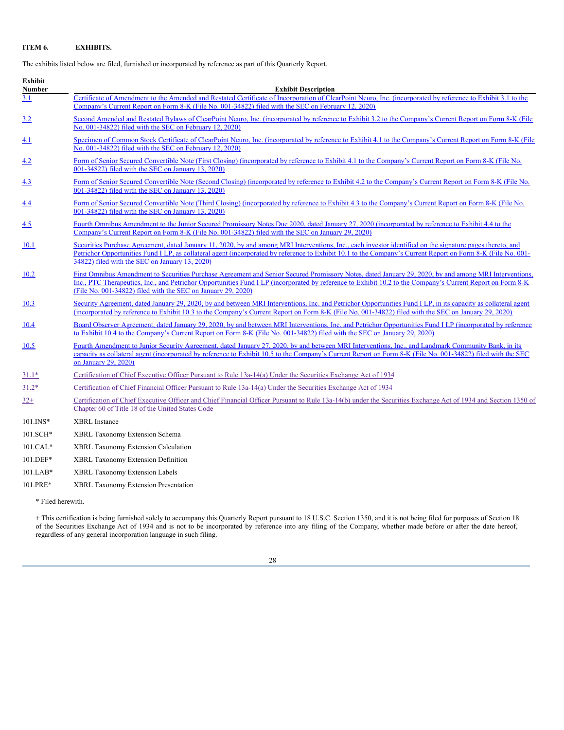# <span id="page-27-0"></span>**ITEM 6. EXHIBITS.**

The exhibits listed below are filed, furnished or incorporated by reference as part of this Quarterly Report.

| Exhibit<br>Number | <b>Exhibit Description</b>                                                                                                                                                                                                                                                                                                                                                          |
|-------------------|-------------------------------------------------------------------------------------------------------------------------------------------------------------------------------------------------------------------------------------------------------------------------------------------------------------------------------------------------------------------------------------|
| 3.1               | Certificate of Amendment to the Amended and Restated Certificate of Incorporation of ClearPoint Neuro, Inc. (incorporated by reference to Exhibit 3.1 to the                                                                                                                                                                                                                        |
|                   | Company's Current Report on Form 8-K (File No. 001-34822) filed with the SEC on February 12, 2020)                                                                                                                                                                                                                                                                                  |
| 3.2               | Second Amended and Restated Bylaws of ClearPoint Neuro, Inc. (incorporated by reference to Exhibit 3.2 to the Company's Current Report on Form 8-K (File<br>No. 001-34822) filed with the SEC on February 12, 2020)                                                                                                                                                                 |
| <u>4.1</u>        | Specimen of Common Stock Certificate of ClearPoint Neuro, Inc. (incorporated by reference to Exhibit 4.1 to the Company's Current Report on Form 8-K (File<br>No. 001-34822) filed with the SEC on February 12, 2020)                                                                                                                                                               |
| <u>4.2</u>        | Form of Senior Secured Convertible Note (First Closing) (incorporated by reference to Exhibit 4.1 to the Company's Current Report on Form 8-K (File No.<br>001-34822) filed with the SEC on January 13, 2020)                                                                                                                                                                       |
| <u>4.3</u>        | Form of Senior Secured Convertible Note (Second Closing) (incorporated by reference to Exhibit 4.2 to the Company's Current Report on Form 8-K (File No.<br>001-34822) filed with the SEC on January 13, 2020)                                                                                                                                                                      |
| <u>4.4</u>        | Form of Senior Secured Convertible Note (Third Closing) (incorporated by reference to Exhibit 4.3 to the Company's Current Report on Form 8-K (File No.<br>001-34822) filed with the SEC on January 13, 2020)                                                                                                                                                                       |
| <u>4.5</u>        | Fourth Omnibus Amendment to the Junior Secured Promissory Notes Due 2020, dated January 27, 2020 (incorporated by reference to Exhibit 4.4 to the<br>Company's Current Report on Form 8-K (File No. 001-34822) filed with the SEC on January 29, 2020)                                                                                                                              |
| <u>10.1</u>       | Securities Purchase Agreement, dated January 11, 2020, by and among MRI Interventions, Inc., each investor identified on the signature pages thereto, and<br>Petrichor Opportunities Fund LLP, as collateral agent (incorporated by reference to Exhibit 10.1 to the Company's Current Report on Form 8-K (File No. 001-<br>34822) filed with the SEC on January 13, 2020)          |
| 10.2              | First Omnibus Amendment to Securities Purchase Agreement and Senior Secured Promissory Notes, dated January 29, 2020, by and among MRI Interventions,<br>Inc., PTC Therapeutics, Inc., and Petrichor Opportunities Fund I LP (incorporated by reference to Exhibit 10.2 to the Company's Current Report on Form 8-K<br>(File No. 001-34822) filed with the SEC on January 29, 2020) |
| 10.3              | Security Agreement, dated January 29, 2020, by and between MRI Interventions. Inc. and Petrichor Opportunities Fund I LP, in its capacity as collateral agent<br>(incorporated by reference to Exhibit 10.3 to the Company's Current Report on Form 8-K (File No. 001-34822) filed with the SEC on January 29, 2020)                                                                |
| 10.4              | Board Observer Agreement, dated January 29, 2020, by and between MRI Interventions, Inc. and Petrichor Opportunities Fund I LP (incorporated by reference<br>to Exhibit 10.4 to the Company's Current Report on Form 8-K (File No. 001-34822) filed with the SEC on January 29, 2020)                                                                                               |
| 10.5              | Fourth Amendment to Junior Security Agreement, dated January 27, 2020, by and between MRI Interventions, Inc., and Landmark Community Bank, in its<br>capacity as collateral agent (incorporated by reference to Exhibit 10.5 to the Company's Current Report on Form 8-K (File No. 001-34822) filed with the SEC<br>on January 29, 2020)                                           |
| $31.1*$           | Certification of Chief Executive Officer Pursuant to Rule 13a-14(a) Under the Securities Exchange Act of 1934                                                                                                                                                                                                                                                                       |
| $31.2*$           | Certification of Chief Financial Officer Pursuant to Rule 13a-14(a) Under the Securities Exchange Act of 1934                                                                                                                                                                                                                                                                       |
| $32+$             | Certification of Chief Executive Officer and Chief Financial Officer Pursuant to Rule 13a-14(b) under the Securities Exchange Act of 1934 and Section 1350 of<br>Chapter 60 of Title 18 of the United States Code                                                                                                                                                                   |
| 101.INS*          | <b>XBRL</b> Instance                                                                                                                                                                                                                                                                                                                                                                |
| 101.SCH*          | XBRL Taxonomy Extension Schema                                                                                                                                                                                                                                                                                                                                                      |
| $101.CAL*$        | XBRL Taxonomy Extension Calculation                                                                                                                                                                                                                                                                                                                                                 |
| 101.DEF*          | XBRL Taxonomy Extension Definition                                                                                                                                                                                                                                                                                                                                                  |
| $101.LAB*$        | XBRL Taxonomy Extension Labels                                                                                                                                                                                                                                                                                                                                                      |
| 101.PRE*          | <b>XBRL Taxonomy Extension Presentation</b>                                                                                                                                                                                                                                                                                                                                         |
| * Filed herewith. |                                                                                                                                                                                                                                                                                                                                                                                     |

+ This certification is being furnished solely to accompany this Quarterly Report pursuant to 18 U.S.C. Section 1350, and it is not being filed for purposes of Section 18 of the Securities Exchange Act of 1934 and is not to be incorporated by reference into any filing of the Company, whether made before or after the date hereof, regardless of any general incorporation language in such filing.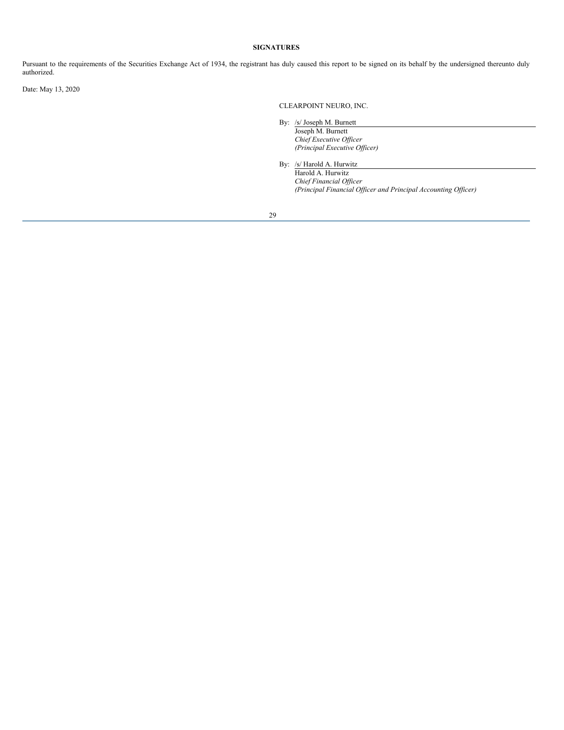## **SIGNATURES**

<span id="page-28-0"></span>Pursuant to the requirements of the Securities Exchange Act of 1934, the registrant has duly caused this report to be signed on its behalf by the undersigned thereunto duly authorized.

Date: May 13, 2020

CLEARPOINT NEURO, INC.

By: /s/ Joseph M. Burnett

Joseph M. Burnett *Chief Executive Of icer (Principal Executive Of icer)*

By: /s/ Harold A. Hurwitz Harold A. Hurwitz *Chief Financial Of icer (Principal Financial Of icer and Principal Accounting Of icer)*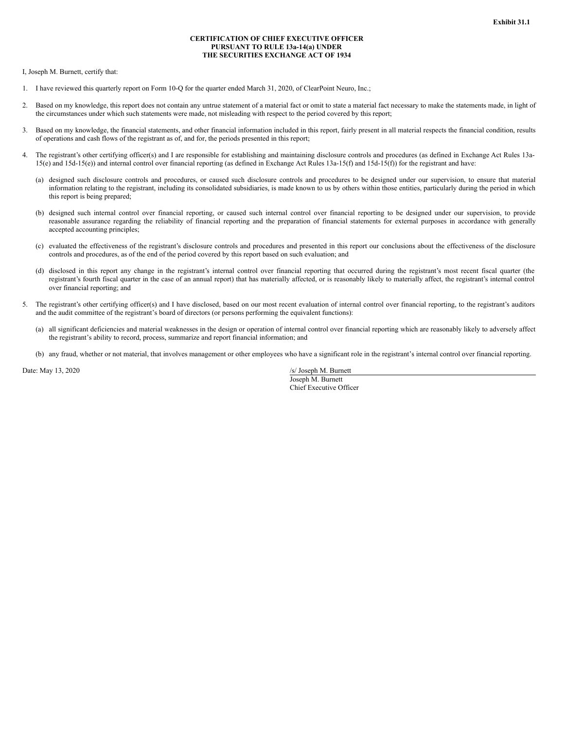### **CERTIFICATION OF CHIEF EXECUTIVE OFFICER PURSUANT TO RULE 13a-14(a) UNDER THE SECURITIES EXCHANGE ACT OF 1934**

<span id="page-29-0"></span>I, Joseph M. Burnett, certify that:

- 1. I have reviewed this quarterly report on Form 10-Q for the quarter ended March 31, 2020, of ClearPoint Neuro, Inc.;
- 2. Based on my knowledge, this report does not contain any untrue statement of a material fact or omit to state a material fact necessary to make the statements made, in light of the circumstances under which such statements were made, not misleading with respect to the period covered by this report;
- 3. Based on my knowledge, the financial statements, and other financial information included in this report, fairly present in all material respects the financial condition, results of operations and cash flows of the registrant as of, and for, the periods presented in this report;
- 4. The registrant's other certifying officer(s) and I are responsible for establishing and maintaining disclosure controls and procedures (as defined in Exchange Act Rules 13a-15(e) and 15d-15(e)) and internal control over financial reporting (as defined in Exchange Act Rules 13a-15(f) and 15d-15(f)) for the registrant and have:
	- (a) designed such disclosure controls and procedures, or caused such disclosure controls and procedures to be designed under our supervision, to ensure that material information relating to the registrant, including its consolidated subsidiaries, is made known to us by others within those entities, particularly during the period in which this report is being prepared;
	- (b) designed such internal control over financial reporting, or caused such internal control over financial reporting to be designed under our supervision, to provide reasonable assurance regarding the reliability of financial reporting and the preparation of financial statements for external purposes in accordance with generally accepted accounting principles;
	- (c) evaluated the effectiveness of the registrant's disclosure controls and procedures and presented in this report our conclusions about the effectiveness of the disclosure controls and procedures, as of the end of the period covered by this report based on such evaluation; and
	- (d) disclosed in this report any change in the registrant's internal control over financial reporting that occurred during the registrant's most recent fiscal quarter (the registrant's fourth fiscal quarter in the case of an annual report) that has materially affected, or is reasonably likely to materially affect, the registrant's internal control over financial reporting; and
- 5. The registrant's other certifying officer(s) and I have disclosed, based on our most recent evaluation of internal control over financial reporting, to the registrant's auditors and the audit committee of the registrant's board of directors (or persons performing the equivalent functions):
	- (a) all significant deficiencies and material weaknesses in the design or operation of internal control over financial reporting which are reasonably likely to adversely affect the registrant's ability to record, process, summarize and report financial information; and
	- (b) any fraud, whether or not material, that involves management or other employees who have a significant role in the registrant's internal control over financial reporting.

Date: May 13, 2020 /s/ Joseph M. Burnett Joseph M. Burnett Chief Executive Officer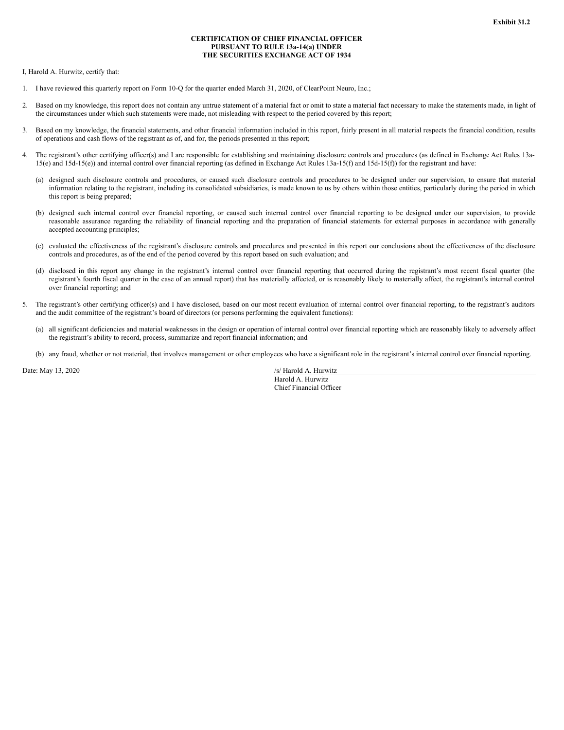### **CERTIFICATION OF CHIEF FINANCIAL OFFICER PURSUANT TO RULE 13a-14(a) UNDER THE SECURITIES EXCHANGE ACT OF 1934**

<span id="page-30-0"></span>I, Harold A. Hurwitz, certify that:

- 1. I have reviewed this quarterly report on Form 10-Q for the quarter ended March 31, 2020, of ClearPoint Neuro, Inc.;
- 2. Based on my knowledge, this report does not contain any untrue statement of a material fact or omit to state a material fact necessary to make the statements made, in light of the circumstances under which such statements were made, not misleading with respect to the period covered by this report;
- 3. Based on my knowledge, the financial statements, and other financial information included in this report, fairly present in all material respects the financial condition, results of operations and cash flows of the registrant as of, and for, the periods presented in this report;
- 4. The registrant's other certifying officer(s) and I are responsible for establishing and maintaining disclosure controls and procedures (as defined in Exchange Act Rules 13a-15(e) and 15d-15(e)) and internal control over financial reporting (as defined in Exchange Act Rules 13a-15(f) and 15d-15(f)) for the registrant and have:
	- (a) designed such disclosure controls and procedures, or caused such disclosure controls and procedures to be designed under our supervision, to ensure that material information relating to the registrant, including its consolidated subsidiaries, is made known to us by others within those entities, particularly during the period in which this report is being prepared;
	- (b) designed such internal control over financial reporting, or caused such internal control over financial reporting to be designed under our supervision, to provide reasonable assurance regarding the reliability of financial reporting and the preparation of financial statements for external purposes in accordance with generally accepted accounting principles;
	- (c) evaluated the effectiveness of the registrant's disclosure controls and procedures and presented in this report our conclusions about the effectiveness of the disclosure controls and procedures, as of the end of the period covered by this report based on such evaluation; and
	- (d) disclosed in this report any change in the registrant's internal control over financial reporting that occurred during the registrant's most recent fiscal quarter (the registrant's fourth fiscal quarter in the case of an annual report) that has materially affected, or is reasonably likely to materially affect, the registrant's internal control over financial reporting; and
- 5. The registrant's other certifying officer(s) and I have disclosed, based on our most recent evaluation of internal control over financial reporting, to the registrant's auditors and the audit committee of the registrant's board of directors (or persons performing the equivalent functions):
	- (a) all significant deficiencies and material weaknesses in the design or operation of internal control over financial reporting which are reasonably likely to adversely affect the registrant's ability to record, process, summarize and report financial information; and
	- (b) any fraud, whether or not material, that involves management or other employees who have a significant role in the registrant's internal control over financial reporting.

Date: May 13, 2020 /s/ Harold A. Hurwitz Harold A. Hurwitz Chief Financial Officer